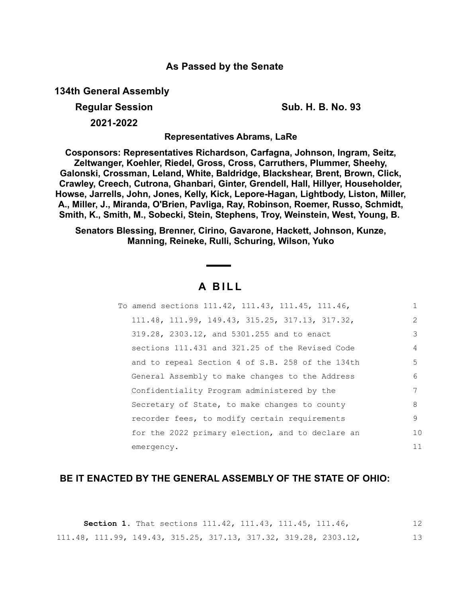### **As Passed by the Senate**

**134th General Assembly**

**Regular Session Sub. H. B. No. 93**

**2021-2022**

**Representatives Abrams, LaRe**

**Cosponsors: Representatives Richardson, Carfagna, Johnson, Ingram, Seitz, Zeltwanger, Koehler, Riedel, Gross, Cross, Carruthers, Plummer, Sheehy, Galonski, Crossman, Leland, White, Baldridge, Blackshear, Brent, Brown, Click, Crawley, Creech, Cutrona, Ghanbari, Ginter, Grendell, Hall, Hillyer, Householder, Howse, Jarrells, John, Jones, Kelly, Kick, Lepore-Hagan, Lightbody, Liston, Miller, A., Miller, J., Miranda, O'Brien, Pavliga, Ray, Robinson, Roemer, Russo, Schmidt, Smith, K., Smith, M., Sobecki, Stein, Stephens, Troy, Weinstein, West, Young, B.** 

**Senators Blessing, Brenner, Cirino, Gavarone, Hackett, Johnson, Kunze, Manning, Reineke, Rulli, Schuring, Wilson, Yuko**

# **A B I L L**

| To amend sections 111.42, 111.43, 111.45, 111.46,                 |               |
|-------------------------------------------------------------------|---------------|
| $111.48$ , $111.99$ , $149.43$ , $315.25$ , $317.13$ , $317.32$ , | $\mathcal{L}$ |
| 319.28, 2303.12, and 5301.255 and to enact                        | 3             |
| sections 111.431 and 321.25 of the Revised Code                   | 4             |
| and to repeal Section 4 of S.B. 258 of the 134th                  | 5             |
| General Assembly to make changes to the Address                   | 6             |
| Confidentiality Program administered by the                       | 7             |
| Secretary of State, to make changes to county                     | 8             |
| recorder fees, to modify certain requirements                     | 9             |
| for the 2022 primary election, and to declare an                  | 10            |
| emergency.                                                        | 11            |

## **BE IT ENACTED BY THE GENERAL ASSEMBLY OF THE STATE OF OHIO:**

|  |  | <b>Section 1.</b> That sections 111.42, 111.43, 111.45, 111.46, |  |                                                                                          | 12 |
|--|--|-----------------------------------------------------------------|--|------------------------------------------------------------------------------------------|----|
|  |  |                                                                 |  | $111.48$ , $111.99$ , $149.43$ , $315.25$ , $317.13$ , $317.32$ , $319.28$ , $2303.12$ , | 13 |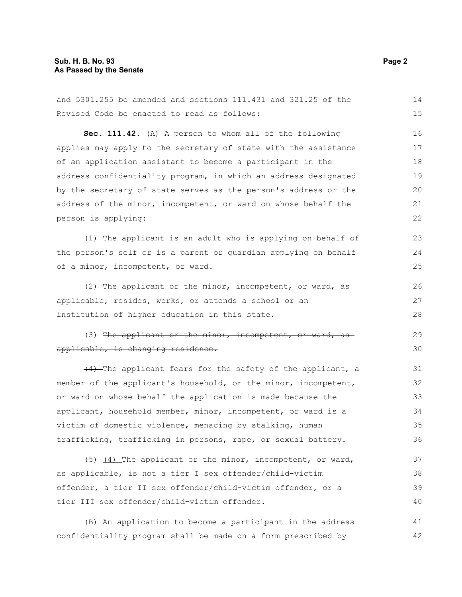### **Sub. H. B. No. 93** Page 2 **As Passed by the Senate**

| and 5301.255 be amended and sections 111.431 and 321.25 of the  | 14 |
|-----------------------------------------------------------------|----|
| Revised Code be enacted to read as follows:                     | 15 |
| Sec. 111.42. (A) A person to whom all of the following          | 16 |
| applies may apply to the secretary of state with the assistance | 17 |
| of an application assistant to become a participant in the      | 18 |
| address confidentiality program, in which an address designated | 19 |
| by the secretary of state serves as the person's address or the | 20 |
| address of the minor, incompetent, or ward on whose behalf the  | 21 |
| person is applying:                                             | 22 |
| (1) The applicant is an adult who is applying on behalf of      | 23 |
| the person's self or is a parent or guardian applying on behalf | 24 |
| of a minor, incompetent, or ward.                               | 25 |
| (2) The applicant or the minor, incompetent, or ward, as        | 26 |
| applicable, resides, works, or attends a school or an           | 27 |
| institution of higher education in this state.                  | 28 |
| (3) The applicant or the minor, incompetent, or ward, as        | 29 |
| applicable, is changing residence.                              | 30 |
| (4) The applicant fears for the safety of the applicant, a      | 31 |
| member of the applicant's household, or the minor, incompetent, | 32 |
| or ward on whose behalf the application is made because the     | 33 |
| applicant, household member, minor, incompetent, or ward is a   | 34 |
| victim of domestic violence, menacing by stalking, human        | 35 |
| trafficking, trafficking in persons, rape, or sexual battery.   | 36 |
| $(5)$ $(4)$ The applicant or the minor, incompetent, or ward,   | 37 |
| as applicable, is not a tier I sex offender/child-victim        | 38 |
| offender, a tier II sex offender/child-victim offender, or a    | 39 |

tier III sex offender/child-victim offender.

(B) An application to become a participant in the address confidentiality program shall be made on a form prescribed by 41 42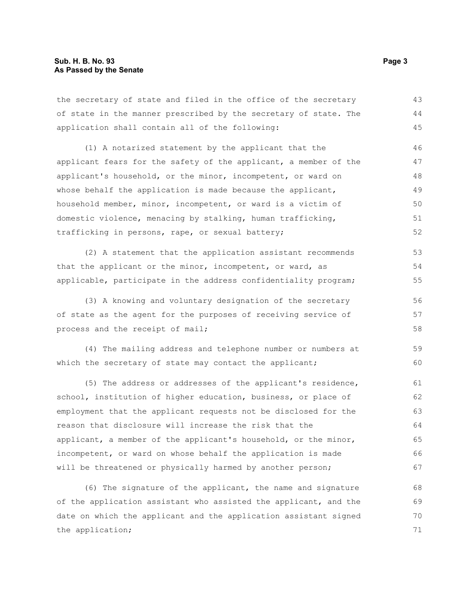the secretary of state and filed in the office of the secretary of state in the manner prescribed by the secretary of state. The application shall contain all of the following: 43 44 45

(1) A notarized statement by the applicant that the applicant fears for the safety of the applicant, a member of the applicant's household, or the minor, incompetent, or ward on whose behalf the application is made because the applicant, household member, minor, incompetent, or ward is a victim of domestic violence, menacing by stalking, human trafficking, trafficking in persons, rape, or sexual battery; 46 47 48 49 50 51 52

(2) A statement that the application assistant recommends that the applicant or the minor, incompetent, or ward, as applicable, participate in the address confidentiality program; 53 54 55

(3) A knowing and voluntary designation of the secretary of state as the agent for the purposes of receiving service of process and the receipt of mail; 56 57 58

(4) The mailing address and telephone number or numbers at which the secretary of state may contact the applicant; 59  $60$ 

(5) The address or addresses of the applicant's residence, school, institution of higher education, business, or place of employment that the applicant requests not be disclosed for the reason that disclosure will increase the risk that the applicant, a member of the applicant's household, or the minor, incompetent, or ward on whose behalf the application is made will be threatened or physically harmed by another person; 61 62 63 64 65 66 67

(6) The signature of the applicant, the name and signature of the application assistant who assisted the applicant, and the date on which the applicant and the application assistant signed the application; 68 69 70 71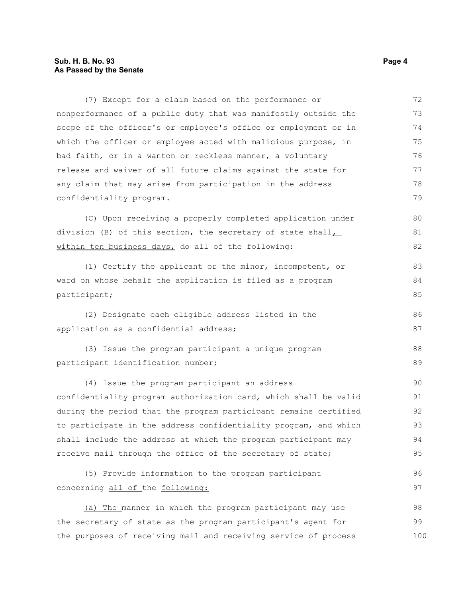### **Sub. H. B. No. 93** Page 4 **As Passed by the Senate**

(7) Except for a claim based on the performance or nonperformance of a public duty that was manifestly outside the scope of the officer's or employee's office or employment or in which the officer or employee acted with malicious purpose, in bad faith, or in a wanton or reckless manner, a voluntary release and waiver of all future claims against the state for any claim that may arise from participation in the address confidentiality program. 72 73 74 75 76 77 78 79

(C) Upon receiving a properly completed application under division (B) of this section, the secretary of state shall within ten business days, do all of the following: 80 81 82

(1) Certify the applicant or the minor, incompetent, or ward on whose behalf the application is filed as a program participant; 83 84 85

(2) Designate each eligible address listed in the application as a confidential address;

(3) Issue the program participant a unique program participant identification number; 88 89

(4) Issue the program participant an address confidentiality program authorization card, which shall be valid during the period that the program participant remains certified to participate in the address confidentiality program, and which shall include the address at which the program participant may receive mail through the office of the secretary of state; 90 91 92 93 94 95

(5) Provide information to the program participant concerning all of the following: 96 97

(a) The manner in which the program participant may use the secretary of state as the program participant's agent for the purposes of receiving mail and receiving service of process 98 99 100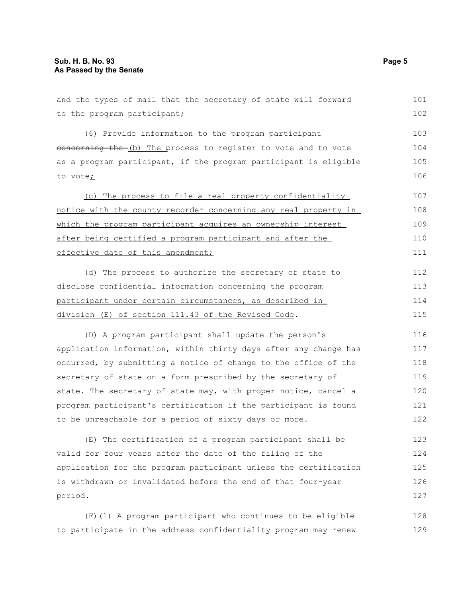| and the types of mail that the secretary of state will forward   | 101 |
|------------------------------------------------------------------|-----|
| to the program participant;                                      | 102 |
| (6) Provide information to the program participant               | 103 |
| eoncerning the (b) The process to register to vote and to vote   | 104 |
| as a program participant, if the program participant is eligible | 105 |
| to vote;                                                         | 106 |
| (c) The process to file a real property confidentiality          | 107 |
| notice with the county recorder concerning any real property in  | 108 |
| which the program participant acquires an ownership interest     | 109 |
| after being certified a program participant and after the        | 110 |
| effective date of this amendment;                                | 111 |
| (d) The process to authorize the secretary of state to           | 112 |
| disclose confidential information concerning the program         | 113 |
| participant under certain circumstances, as described in         | 114 |
| division (E) of section 111.43 of the Revised Code.              | 115 |
| (D) A program participant shall update the person's              | 116 |
| application information, within thirty days after any change has | 117 |
| occurred, by submitting a notice of change to the office of the  | 118 |
| secretary of state on a form prescribed by the secretary of      | 119 |
| state. The secretary of state may, with proper notice, cancel a  | 120 |
| program participant's certification if the participant is found  | 121 |
| to be unreachable for a period of sixty days or more.            | 122 |
| (E) The certification of a program participant shall be          | 123 |
| valid for four years after the date of the filing of the         | 124 |
| application for the program participant unless the certification | 125 |
| is withdrawn or invalidated before the end of that four-year     | 126 |
| period.                                                          | 127 |
|                                                                  |     |

(F)(1) A program participant who continues to be eligible to participate in the address confidentiality program may renew 128 129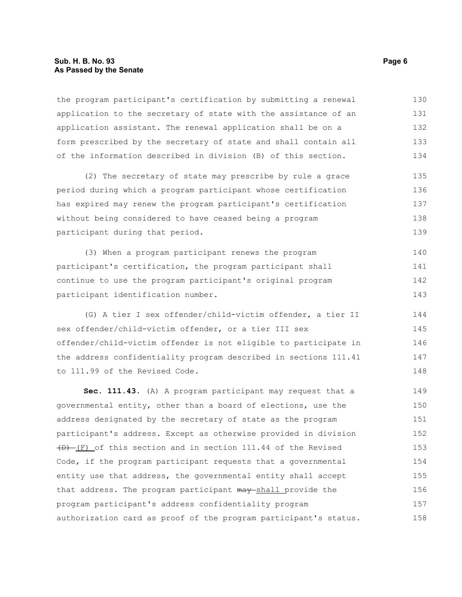#### **Sub. H. B. No. 93** Page 6 **As Passed by the Senate**

the program participant's certification by submitting a renewal application to the secretary of state with the assistance of an application assistant. The renewal application shall be on a form prescribed by the secretary of state and shall contain all of the information described in division (B) of this section. 130 131 132 133 134

(2) The secretary of state may prescribe by rule a grace period during which a program participant whose certification has expired may renew the program participant's certification without being considered to have ceased being a program participant during that period. 135 136 137 138 139

(3) When a program participant renews the program participant's certification, the program participant shall continue to use the program participant's original program participant identification number. 140 141 142 143

(G) A tier I sex offender/child-victim offender, a tier II sex offender/child-victim offender, or a tier III sex offender/child-victim offender is not eligible to participate in the address confidentiality program described in sections 111.41 to 111.99 of the Revised Code. 144 145 146 147 148

**Sec. 111.43.** (A) A program participant may request that a governmental entity, other than a board of elections, use the address designated by the secretary of state as the program participant's address. Except as otherwise provided in division  $(D)$  (F) of this section and in section 111.44 of the Revised Code, if the program participant requests that a governmental entity use that address, the governmental entity shall accept that address. The program participant  $m$ ay shall provide the program participant's address confidentiality program authorization card as proof of the program participant's status. 149 150 151 152 153 154 155 156 157 158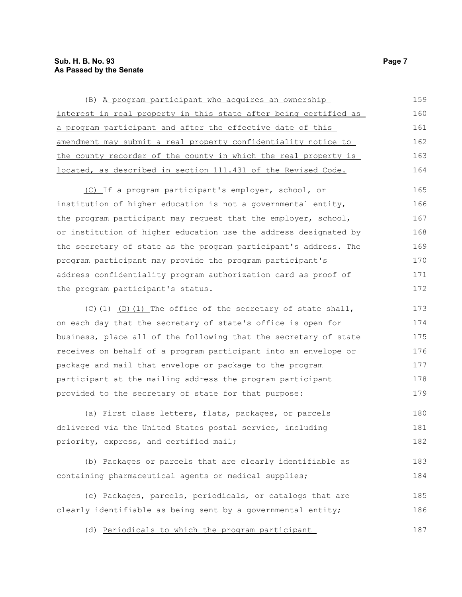(B) A program participant who acquires an ownership interest in real property in this state after being certified as a program participant and after the effective date of this amendment may submit a real property confidentiality notice to the county recorder of the county in which the real property is located, as described in section 111.431 of the Revised Code. 159 160 161 162 163 164

(C) If a program participant's employer, school, or institution of higher education is not a governmental entity, the program participant may request that the employer, school, or institution of higher education use the address designated by the secretary of state as the program participant's address. The program participant may provide the program participant's address confidentiality program authorization card as proof of the program participant's status. 165 166 167 168 169 170 171 172

 $(C)$ (1) (D)(1) The office of the secretary of state shall, on each day that the secretary of state's office is open for business, place all of the following that the secretary of state receives on behalf of a program participant into an envelope or package and mail that envelope or package to the program participant at the mailing address the program participant provided to the secretary of state for that purpose: 173 174 175 176 177 178 179

(a) First class letters, flats, packages, or parcels delivered via the United States postal service, including priority, express, and certified mail; 180 181 182

```
(b) Packages or parcels that are clearly identifiable as
containing pharmaceutical agents or medical supplies;
                                                                            183
                                                                            184
```
(c) Packages, parcels, periodicals, or catalogs that are clearly identifiable as being sent by a governmental entity; 185 186

(d) Periodicals to which the program participant 187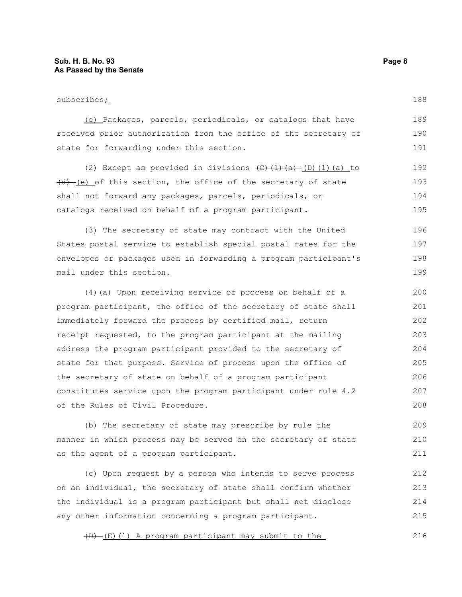#### **Sub. H. B. No. 93 Page 8 As Passed by the Senate**

#### subscribes;

(e) Packages, parcels, periodicals, or catalogs that have received prior authorization from the office of the secretary of state for forwarding under this section. 189 190 191

(2) Except as provided in divisions  $\overline{(C)}$   $\overline{(1)}$   $\overline{(a)}$   $\overline{(1)}$   $\overline{(a)}$  to  $(d)$  (e) of this section, the office of the secretary of state shall not forward any packages, parcels, periodicals, or catalogs received on behalf of a program participant. 192 193 194 195

(3) The secretary of state may contract with the United States postal service to establish special postal rates for the envelopes or packages used in forwarding a program participant's mail under this section. 196 197 198 199

(4)(a) Upon receiving service of process on behalf of a program participant, the office of the secretary of state shall immediately forward the process by certified mail, return receipt requested, to the program participant at the mailing address the program participant provided to the secretary of state for that purpose. Service of process upon the office of the secretary of state on behalf of a program participant constitutes service upon the program participant under rule 4.2 of the Rules of Civil Procedure. 200 201 202 203 204 205 206 207 208

(b) The secretary of state may prescribe by rule the manner in which process may be served on the secretary of state as the agent of a program participant.

(c) Upon request by a person who intends to serve process on an individual, the secretary of state shall confirm whether the individual is a program participant but shall not disclose any other information concerning a program participant.

 $(D)$  (E)(1) A program participant may submit to the 216

188

209 210 211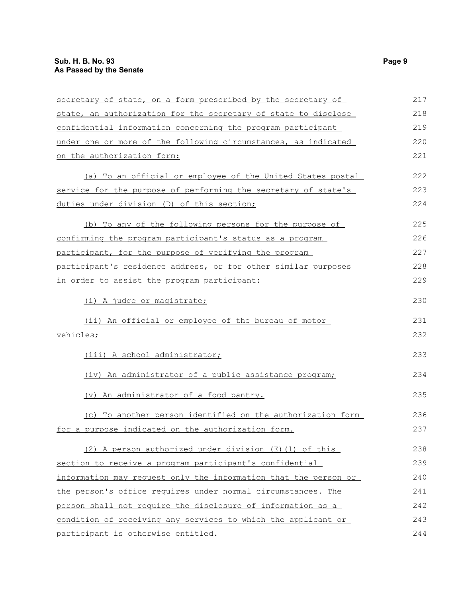| secretary of state, on a form prescribed by the secretary of    | 217 |
|-----------------------------------------------------------------|-----|
| state, an authorization for the secretary of state to disclose  | 218 |
| confidential information concerning the program participant     | 219 |
| under one or more of the following circumstances, as indicated  | 220 |
| on the authorization form:                                      | 221 |
| (a) To an official or employee of the United States postal      | 222 |
| service for the purpose of performing the secretary of state's  | 223 |
| duties under division (D) of this section;                      | 224 |
| (b) To any of the following persons for the purpose of          | 225 |
| confirming the program participant's status as a program        | 226 |
| participant, for the purpose of verifying the program           | 227 |
| participant's residence address, or for other similar purposes  | 228 |
| in order to assist the program participant:                     | 229 |
| (i) A judge or magistrate;                                      | 230 |
| (ii) An official or employee of the bureau of motor             | 231 |
| vehicles;                                                       | 232 |
| (iii) A school administrator;                                   | 233 |
| (iv) An administrator of a public assistance program;           | 234 |
| (v) An administrator of a food pantry.                          | 235 |
| (c) To another person identified on the authorization form      | 236 |
| for a purpose indicated on the authorization form.              | 237 |
| (2) A person authorized under division (E) (1) of this          | 238 |
| section to receive a program participant's confidential         | 239 |
| information may request only the information that the person or | 240 |
| the person's office requires under normal circumstances. The    | 241 |
| person shall not require the disclosure of information as a     | 242 |
| condition of receiving any services to which the applicant or   | 243 |
| participant is otherwise entitled.                              | 244 |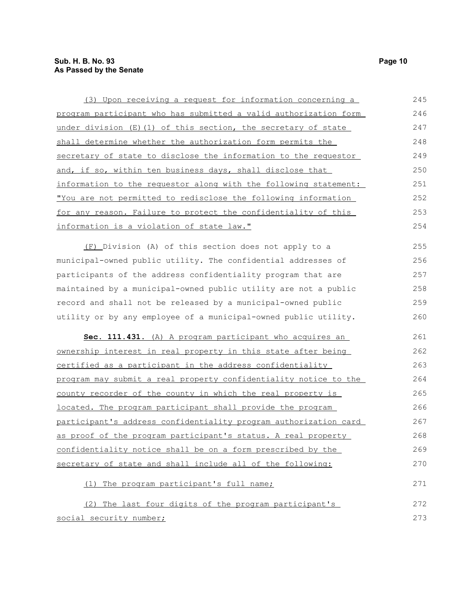| (3) Upon receiving a request for information concerning a        | 245 |
|------------------------------------------------------------------|-----|
| program participant who has submitted a valid authorization form | 246 |
| under division (E) (1) of this section, the secretary of state   | 247 |
| shall determine whether the authorization form permits the       | 248 |
| secretary of state to disclose the information to the requestor  | 249 |
| and, if so, within ten business days, shall disclose that        | 250 |
| information to the requestor along with the following statement: | 251 |
| "You are not permitted to redisclose the following information   | 252 |
| for any reason. Failure to protect the confidentiality of this   | 253 |
| information is a violation of state law."                        | 254 |
| (F) Division (A) of this section does not apply to a             | 255 |
| municipal-owned public utility. The confidential addresses of    | 256 |
| participants of the address confidentiality program that are     | 257 |
| maintained by a municipal-owned public utility are not a public  | 258 |
| record and shall not be released by a municipal-owned public     | 259 |
| utility or by any employee of a municipal-owned public utility.  | 260 |
| Sec. 111.431. (A) A program participant who acquires an          | 261 |
| ownership interest in real property in this state after being    | 262 |
| certified as a participant in the address confidentiality        | 263 |
| program may submit a real property confidentiality notice to the | 264 |
| county recorder of the county in which the real property is      | 265 |
| located. The program participant shall provide the program       | 266 |
| participant's address confidentiality program authorization card | 267 |
| as proof of the program participant's status. A real property    | 268 |
| confidentiality notice shall be on a form prescribed by the      | 269 |
| secretary of state and shall include all of the following:       | 270 |
| (1) The program participant's full name;                         | 271 |
| (2) The last four digits of the program participant's            | 272 |
| social security number;                                          | 273 |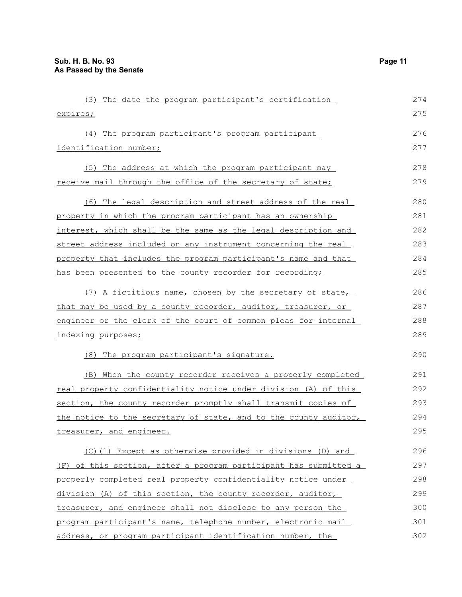| (3) The date the program participant's certification             | 274 |
|------------------------------------------------------------------|-----|
| expires;                                                         | 275 |
| (4) The program participant's program participant                | 276 |
| identification number;                                           | 277 |
| (5) The address at which the program participant may             | 278 |
| receive mail through the office of the secretary of state;       | 279 |
| (6) The legal description and street address of the real         | 280 |
| property in which the program participant has an ownership       | 281 |
| interest, which shall be the same as the legal description and   | 282 |
| street address included on any instrument concerning the real    | 283 |
| property that includes the program participant's name and that   | 284 |
| has been presented to the county recorder for recording;         | 285 |
| (7) A fictitious name, chosen by the secretary of state,         | 286 |
| that may be used by a county recorder, auditor, treasurer, or    | 287 |
| engineer or the clerk of the court of common pleas for internal  | 288 |
| indexing purposes;                                               | 289 |
| (8) The program participant's signature.                         | 290 |
| (B) When the county recorder receives a properly completed       | 291 |
| real property confidentiality notice under division (A) of this  | 292 |
| section, the county recorder promptly shall transmit copies of   | 293 |
| the notice to the secretary of state, and to the county auditor, | 294 |
| treasurer, and engineer.                                         | 295 |
| (C)(1) Except as otherwise provided in divisions (D) and         | 296 |
| (F) of this section, after a program participant has submitted a | 297 |
| properly completed real property confidentiality notice under    | 298 |
| division (A) of this section, the county recorder, auditor,      | 299 |
| treasurer, and engineer shall not disclose to any person the     | 300 |
| program participant's name, telephone number, electronic mail    | 301 |
| address, or program participant identification number, the       | 302 |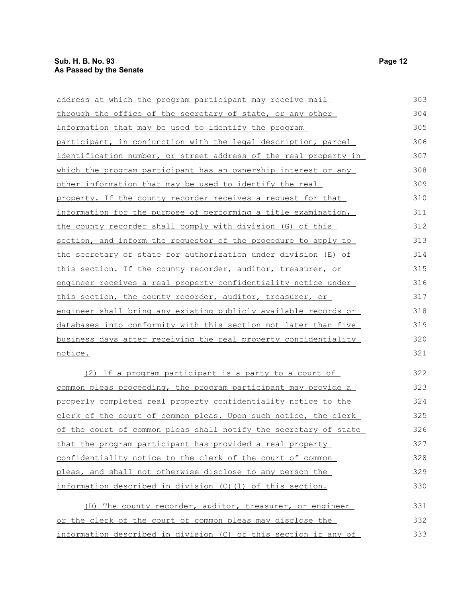| <u>address at which the program participant may receive mail</u> | 303 |
|------------------------------------------------------------------|-----|
| through the office of the secretary of state, or any other       | 304 |
| information that may be used to identify the program             | 305 |
| participant, in conjunction with the legal description, parcel   | 306 |
| identification number, or street address of the real property in | 307 |
| which the program participant has an ownership interest or any   | 308 |
| other information that may be used to identify the real          | 309 |
| property. If the county recorder receives a request for that     | 310 |
| information for the purpose of performing a title examination,   | 311 |
| the county recorder shall comply with division (G) of this       | 312 |
| section, and inform the requestor of the procedure to apply to   | 313 |
| the secretary of state for authorization under division (E) of   | 314 |
| this section. If the county recorder, auditor, treasurer, or     | 315 |
| engineer receives a real property confidentiality notice under   | 316 |
| this section, the county recorder, auditor, treasurer, or        | 317 |
| engineer shall bring any existing publicly available records or  | 318 |
| databases into conformity with this section not later than five  | 319 |
| business days after receiving the real property confidentiality  | 320 |
| notice.                                                          | 321 |
| (2) If a program participant is a party to a court of            | 322 |
| common pleas proceeding, the program participant may provide a   | 323 |
| properly completed real property confidentiality notice to the   | 324 |
| clerk of the court of common pleas. Upon such notice, the clerk  | 325 |
| of the court of common pleas shall notify the secretary of state | 326 |
| that the program participant has provided a real property        | 327 |
| confidentiality notice to the clerk of the court of common       | 328 |
| pleas, and shall not otherwise disclose to any person the        | 329 |
| information described in division (C) (1) of this section.       | 330 |
| (D) The county recorder, auditor, treasurer, or engineer         | 331 |
| or the clerk of the court of common pleas may disclose the       | 332 |
| information described in division (C) of this section if any of  | 333 |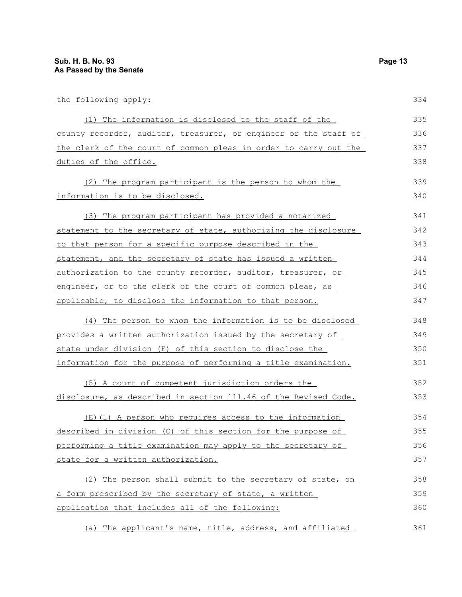| the following apply:                                                   | 334 |
|------------------------------------------------------------------------|-----|
| (1) The information is disclosed to the staff of the                   | 335 |
| county recorder, auditor, treasurer, or engineer or the staff of       | 336 |
| the clerk of the court of common pleas in order to carry out the       | 337 |
| duties of the office.                                                  | 338 |
| (2) The program participant is the person to whom the                  | 339 |
| <u>information is to be disclosed.</u>                                 | 340 |
| (3) The program participant has provided a notarized                   | 341 |
| statement to the secretary of state, authorizing the disclosure        | 342 |
| to that person for a specific purpose described in the                 | 343 |
| statement, and the secretary of state has issued a written             | 344 |
| authorization to the county recorder, auditor, treasurer, or           | 345 |
| engineer, or to the clerk of the court of common pleas, as             | 346 |
| applicable, to disclose the information to that person.                | 347 |
| (4) The person to whom the information is to be disclosed              | 348 |
| provides a written authorization issued by the secretary of            | 349 |
| state under division (E) of this section to disclose the               | 350 |
| information for the purpose of performing a title examination.         | 351 |
| (5) A court of competent jurisdiction orders the                       | 352 |
| <u>disclosure, as described in section 111.46 of the Revised Code.</u> | 353 |
| (E)(1) A person who requires access to the information                 | 354 |
| described in division (C) of this section for the purpose of           | 355 |
| performing a title examination may apply to the secretary of           | 356 |
| state for a written authorization.                                     | 357 |
| (2) The person shall submit to the secretary of state, on              | 358 |
| a form prescribed by the secretary of state, a written                 | 359 |
| application that includes all of the following:                        | 360 |
| (a) The applicant's name, title, address, and affiliated               | 361 |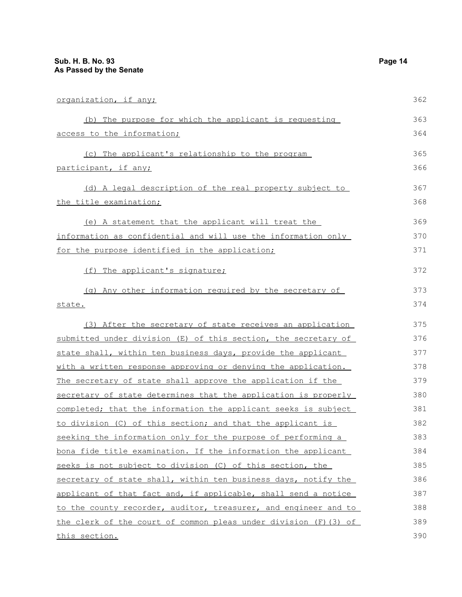| organization, if any;                                            | 362 |
|------------------------------------------------------------------|-----|
| The purpose for which the applicant is requesting<br>(b)         | 363 |
| access to the information;                                       | 364 |
| (c) The applicant's relationship to the program                  | 365 |
| participant, if any;                                             | 366 |
| (d) A legal description of the real property subject to          | 367 |
| the title examination;                                           | 368 |
| (e) A statement that the applicant will treat the                | 369 |
| information as confidential and will use the information only    | 370 |
| for the purpose identified in the application;                   | 371 |
| (f) The applicant's signature;                                   | 372 |
| (q) Any other information required by the secretary of           | 373 |
| state.                                                           | 374 |
| (3) After the secretary of state receives an application         | 375 |
| submitted under division (E) of this section, the secretary of   | 376 |
| state shall, within ten business days, provide the applicant     | 377 |
| with a written response approving or denying the application.    | 378 |
| The secretary of state shall approve the application if the      | 379 |
| secretary of state determines that the application is properly   | 380 |
| completed; that the information the applicant seeks is subject   | 381 |
| to division (C) of this section; and that the applicant is       | 382 |
| seeking the information only for the purpose of performing a     | 383 |
| bona fide title examination. If the information the applicant    | 384 |
| seeks is not subject to division (C) of this section, the        | 385 |
| secretary of state shall, within ten business days, notify the   | 386 |
| applicant of that fact and, if applicable, shall send a notice   | 387 |
| to the county recorder, auditor, treasurer, and engineer and to  | 388 |
| the clerk of the court of common pleas under division (F) (3) of | 389 |
| this section.                                                    | 390 |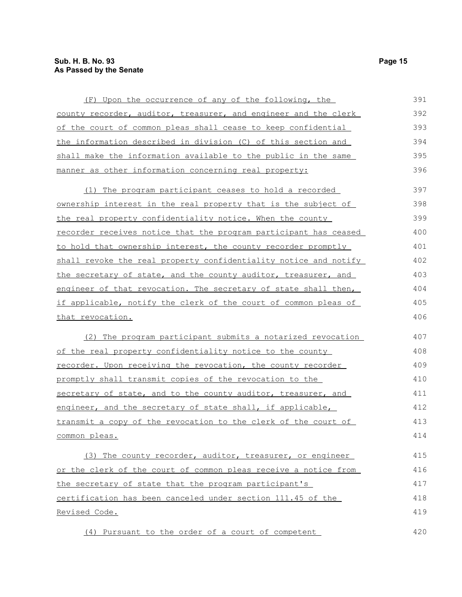### **Sub. H. B. No. 93** Page 15 **As Passed by the Senate**

| (F) Upon the occurrence of any of the following, the             | 391 |
|------------------------------------------------------------------|-----|
| county recorder, auditor, treasurer, and engineer and the clerk  | 392 |
| of the court of common pleas shall cease to keep confidential    | 393 |
| the information described in division (C) of this section and    | 394 |
| shall make the information available to the public in the same   | 395 |
| manner as other information concerning real property:            | 396 |
| The program participant ceases to hold a recorded<br>(1)         | 397 |
| ownership interest in the real property that is the subject of   | 398 |
| the real property confidentiality notice. When the county        | 399 |
| recorder receives notice that the program participant has ceased | 400 |
| to hold that ownership interest, the county recorder promptly    | 401 |
| shall revoke the real property confidentiality notice and notify | 402 |
| the secretary of state, and the county auditor, treasurer, and   | 403 |
| engineer of that revocation. The secretary of state shall then,  | 404 |
| if applicable, notify the clerk of the court of common pleas of  | 405 |
| that revocation.                                                 | 406 |
| (2) The program participant submits a notarized revocation       | 407 |
| of the real property confidentiality notice to the county        | 408 |
| recorder. Upon receiving the revocation, the county recorder     | 409 |
| promptly shall transmit copies of the revocation to the          | 410 |
| secretary of state, and to the county auditor, treasurer, and    | 411 |
| engineer, and the secretary of state shall, if applicable,       | 412 |
| transmit a copy of the revocation to the clerk of the court of   | 413 |
| common pleas.                                                    | 414 |
| (3) The county recorder, auditor, treasurer, or engineer         | 415 |
| or the clerk of the court of common pleas receive a notice from  | 416 |
| the secretary of state that the program participant's            | 417 |
| certification has been canceled under section 111.45 of the      | 418 |
| Revised Code.                                                    | 419 |
| (4) Pursuant to the order of a court of competent                | 420 |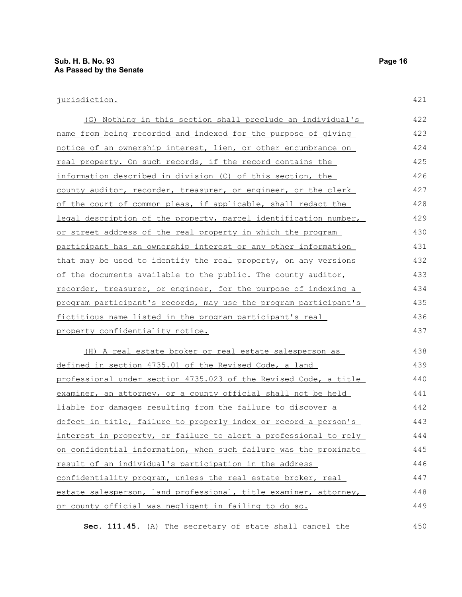### jurisdiction.

| (G) Nothing in this section shall preclude an individual's       | 422 |
|------------------------------------------------------------------|-----|
| name from being recorded and indexed for the purpose of giving   | 423 |
| notice of an ownership interest, lien, or other encumbrance on   | 424 |
| real property. On such records, if the record contains the       | 425 |
| information described in division (C) of this section, the       | 426 |
| county auditor, recorder, treasurer, or engineer, or the clerk   | 427 |
| of the court of common pleas, if applicable, shall redact the    | 428 |
| legal description of the property, parcel identification number, | 429 |
| or street address of the real property in which the program      | 430 |
| participant has an ownership interest or any other information   | 431 |
| that may be used to identify the real property, on any versions  | 432 |
| of the documents available to the public. The county auditor,    | 433 |
| recorder, treasurer, or engineer, for the purpose of indexing a  | 434 |
| program participant's records, may use the program participant's | 435 |
| fictitious name listed in the program participant's real         | 436 |
| property confidentiality notice.                                 | 437 |
| (H) A real estate broker or real estate salesperson as           | 438 |
| defined in section 4735.01 of the Revised Code, a land           | 439 |
| professional under section 4735.023 of the Revised Code, a title | 440 |
| examiner, an attorney, or a county official shall not be held    | 441 |
| liable for damages resulting from the failure to discover a      | 442 |
| defect in title, failure to properly index or record a person's  | 443 |
| interest in property, or failure to alert a professional to rely | 444 |
| on confidential information, when such failure was the proximate | 445 |
| result of an individual's participation in the address           | 446 |
| confidentiality program, unless the real estate broker, real     | 447 |
| estate salesperson, land professional, title examiner, attorney, | 448 |
| or county official was negligent in failing to do so.            | 449 |
|                                                                  |     |

**Sec. 111.45.** (A) The secretary of state shall cancel the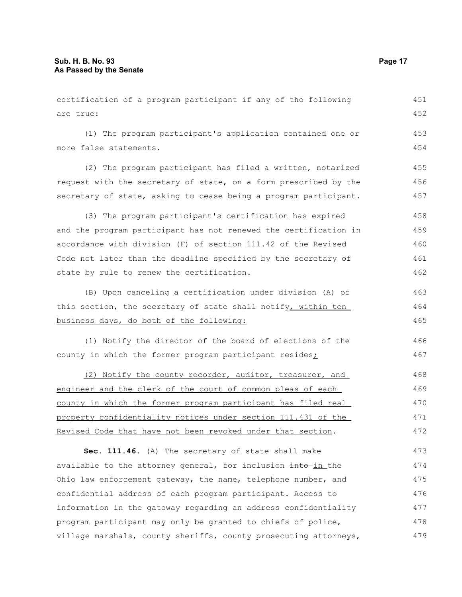| certification of a program participant if any of the following   | 451 |
|------------------------------------------------------------------|-----|
| are true:                                                        | 452 |
| (1) The program participant's application contained one or       | 453 |
| more false statements.                                           | 454 |
| (2) The program participant has filed a written, notarized       | 455 |
| request with the secretary of state, on a form prescribed by the | 456 |
| secretary of state, asking to cease being a program participant. | 457 |
| (3) The program participant's certification has expired          | 458 |
| and the program participant has not renewed the certification in | 459 |
| accordance with division (F) of section 111.42 of the Revised    | 460 |
| Code not later than the deadline specified by the secretary of   | 461 |
| state by rule to renew the certification.                        | 462 |
| (B) Upon canceling a certification under division (A) of         | 463 |
| this section, the secretary of state shall-notify, within ten    |     |
|                                                                  | 464 |
| business days, do both of the following:                         | 465 |
| (1) Notify the director of the board of elections of the         | 466 |
| county in which the former program participant resides;          | 467 |
| (2) Notify the county recorder, auditor, treasurer, and          | 468 |
| engineer and the clerk of the court of common pleas of each      | 469 |
| county in which the former program participant has filed real    | 470 |
| property confidentiality notices under section 111.431 of the    | 471 |
| Revised Code that have not been revoked under that section.      | 472 |
| Sec. 111.46. (A) The secretary of state shall make               | 473 |
| available to the attorney general, for inclusion into-in the     | 474 |
| Ohio law enforcement gateway, the name, telephone number, and    | 475 |
| confidential address of each program participant. Access to      | 476 |
| information in the gateway regarding an address confidentiality  | 477 |

village marshals, county sheriffs, county prosecuting attorneys, 479

program participant may only be granted to chiefs of police,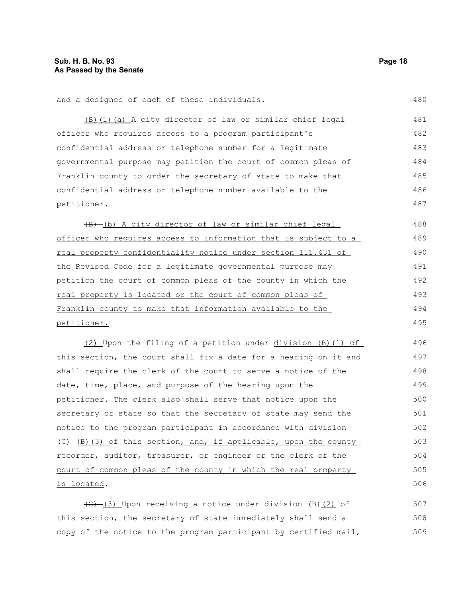480

and a designee of each of these individuals.

(B)(1)(a) A city director of law or similar chief legal officer who requires access to a program participant's confidential address or telephone number for a legitimate governmental purpose may petition the court of common pleas of Franklin county to order the secretary of state to make that confidential address or telephone number available to the petitioner. 481 482 483 484 485 486 487

(B) (b) A city director of law or similar chief legal officer who requires access to information that is subject to a real property confidentiality notice under section 111.431 of the Revised Code for a legitimate governmental purpose may petition the court of common pleas of the county in which the real property is located or the court of common pleas of Franklin county to make that information available to the petitioner. 488 489 490 491 492 493 494 495

(2) Upon the filing of a petition under division (B)(1) of this section, the court shall fix a date for a hearing on it and shall require the clerk of the court to serve a notice of the date, time, place, and purpose of the hearing upon the petitioner. The clerk also shall serve that notice upon the secretary of state so that the secretary of state may send the notice to the program participant in accordance with division  $\left(\frac{C}{C}\right)$  (3) of this section, and, if applicable, upon the county recorder, auditor, treasurer, or engineer or the clerk of the court of common pleas of the county in which the real property is located. 496 497 498 499 500 501 502 503 504 505 506

(C) (3) Upon receiving a notice under division (B)(2) of this section, the secretary of state immediately shall send a copy of the notice to the program participant by certified mail, 507 508 509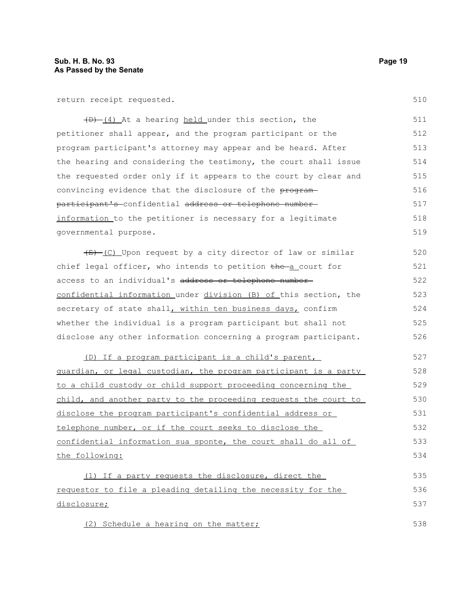return receipt requested.

(D) (4) At a hearing held under this section, the petitioner shall appear, and the program participant or the program participant's attorney may appear and be heard. After the hearing and considering the testimony, the court shall issue the requested order only if it appears to the court by clear and convincing evidence that the disclosure of the programparticipant's confidential address or telephone number information to the petitioner is necessary for a legitimate governmental purpose. 511 512 513 514 515 516 517 518 519

(E) (C) Upon request by a city director of law or similar chief legal officer, who intends to petition the a court for access to an individual's address or telephone numberconfidential information under division (B) of this section, the secretary of state shall, within ten business days, confirm whether the individual is a program participant but shall not disclose any other information concerning a program participant. 520 521 522 523 524 525 526

(D) If a program participant is a child's parent, guardian, or legal custodian, the program participant is a party to a child custody or child support proceeding concerning the child, and another party to the proceeding requests the court to disclose the program participant's confidential address or telephone number, or if the court seeks to disclose the confidential information sua sponte, the court shall do all of the following: 527 528 529 530 531 532 533 534

(1) If a party requests the disclosure, direct the requestor to file a pleading detailing the necessity for the disclosure; 535 536 537

(2) Schedule a hearing on the matter;

510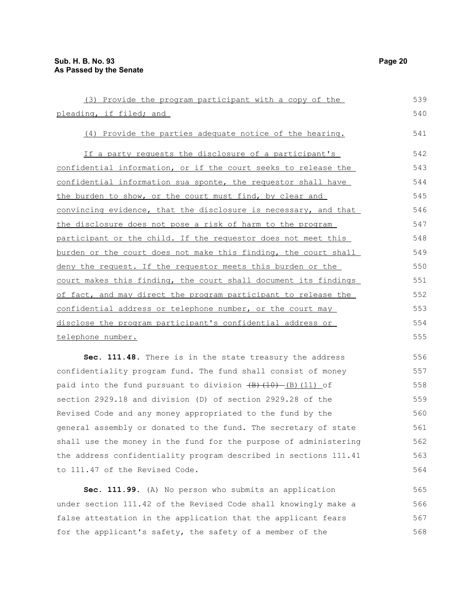568

| (3) Provide the program participant with a copy of the                                                | 539 |
|-------------------------------------------------------------------------------------------------------|-----|
| pleading, if filed; and                                                                               | 540 |
| (4) Provide the parties adequate notice of the hearing.                                               | 541 |
| If a party requests the disclosure of a participant's                                                 | 542 |
| confidential information, or if the court seeks to release the                                        | 543 |
| confidential information sua sponte, the requestor shall have                                         | 544 |
| the burden to show, or the court must find, by clear and                                              | 545 |
| convincing evidence, that the disclosure is necessary, and that                                       | 546 |
| the disclosure does not pose a risk of harm to the program                                            | 547 |
| participant or the child. If the requestor does not meet this                                         | 548 |
| burden or the court does not make this finding, the court shall                                       | 549 |
| deny the request. If the requestor meets this burden or the                                           | 550 |
| court makes this finding, the court shall document its findings                                       | 551 |
| of fact, and may direct the program participant to release the                                        | 552 |
| confidential address or telephone number, or the court may                                            | 553 |
| disclose the program participant's confidential address or                                            | 554 |
| telephone number.                                                                                     | 555 |
| Sec. 111.48. There is in the state treasury the address                                               | 556 |
| confidentiality program fund. The fund shall consist of money                                         | 557 |
| paid into the fund pursuant to division $\left(\frac{B}{B}\right)\left(\frac{10}{-10}\right)$ (11) of | 558 |
| section 2929.18 and division (D) of section 2929.28 of the                                            | 559 |
| Revised Code and any money appropriated to the fund by the                                            | 560 |
| general assembly or donated to the fund. The secretary of state                                       | 561 |
| shall use the money in the fund for the purpose of administering                                      | 562 |
| the address confidentiality program described in sections 111.41                                      | 563 |
| to 111.47 of the Revised Code.                                                                        | 564 |
| Sec. 111.99. (A) No person who submits an application                                                 | 565 |
| under section 111.42 of the Revised Code shall knowingly make a                                       | 566 |
| false attestation in the application that the applicant fears                                         | 567 |

for the applicant's safety, the safety of a member of the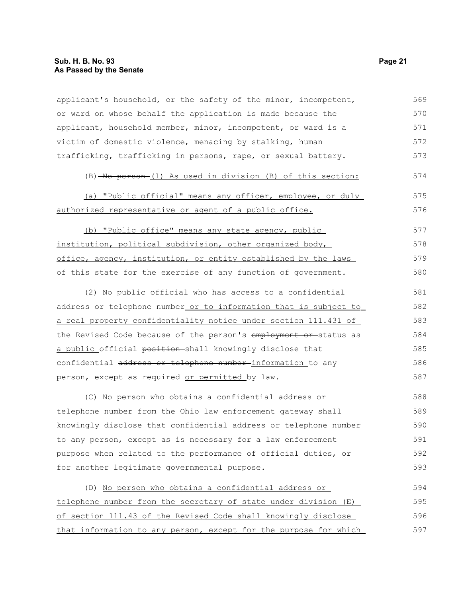| applicant's household, or the safety of the minor, incompetent,  | 569 |
|------------------------------------------------------------------|-----|
| or ward on whose behalf the application is made because the      | 570 |
| applicant, household member, minor, incompetent, or ward is a    | 571 |
| victim of domestic violence, menacing by stalking, human         | 572 |
| trafficking, trafficking in persons, rape, or sexual battery.    | 573 |
| (B) -No person-(1) As used in division (B) of this section:      | 574 |
| (a) "Public official" means any officer, employee, or duly       | 575 |
| authorized representative or agent of a public office.           | 576 |
| (b) "Public office" means any state agency, public               | 577 |
| institution, political subdivision, other organized body,        | 578 |
| office, agency, institution, or entity established by the laws   | 579 |
| of this state for the exercise of any function of government.    | 580 |
| (2) No public official who has access to a confidential          | 581 |
| address or telephone number or to information that is subject to | 582 |
| a real property confidentiality notice under section 111.431 of  | 583 |
| the Revised Code because of the person's employment or status as | 584 |
| a public official position-shall knowingly disclose that         | 585 |
| confidential address or telephone number-information to any      | 586 |
| person, except as required or permitted by law.                  | 587 |
| (C) No person who obtains a confidential address or              | 588 |
| telephone number from the Ohio law enforcement gateway shall     | 589 |
| knowingly disclose that confidential address or telephone number | 590 |
| to any person, except as is necessary for a law enforcement      | 591 |
| purpose when related to the performance of official duties, or   | 592 |
| for another legitimate governmental purpose.                     | 593 |
| (D) No person who obtains a confidential address or              | 594 |
| telephone number from the secretary of state under division (E)  | 595 |
| of section 111.43 of the Revised Code shall knowingly disclose   | 596 |
| that information to any person, except for the purpose for which | 597 |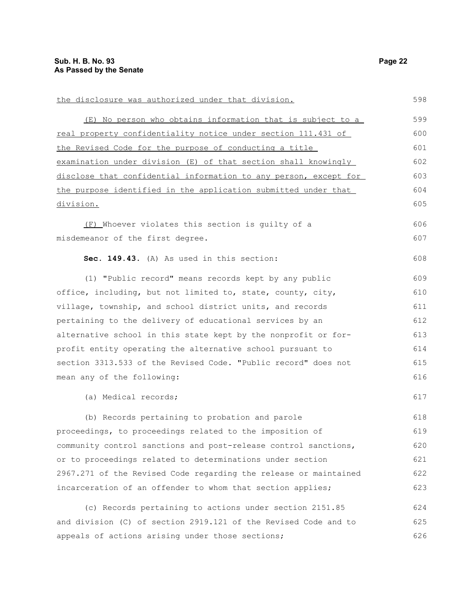| the disclosure was authorized under that division.               | 598 |
|------------------------------------------------------------------|-----|
| (E) No person who obtains information that is subject to a       | 599 |
| real property confidentiality notice under section 111.431 of    | 600 |
| the Revised Code for the purpose of conducting a title           | 601 |
| examination under division (E) of that section shall knowingly   | 602 |
| disclose that confidential information to any person, except for | 603 |
| the purpose identified in the application submitted under that   | 604 |
| division.                                                        | 605 |
| (F) Whoever violates this section is quilty of a                 | 606 |
| misdemeanor of the first degree.                                 | 607 |
| Sec. 149.43. (A) As used in this section:                        | 608 |
| (1) "Public record" means records kept by any public             | 609 |
| office, including, but not limited to, state, county, city,      | 610 |
| village, township, and school district units, and records        | 611 |
| pertaining to the delivery of educational services by an         | 612 |
| alternative school in this state kept by the nonprofit or for-   | 613 |
| profit entity operating the alternative school pursuant to       | 614 |
| section 3313.533 of the Revised Code. "Public record" does not   | 615 |
| mean any of the following:                                       | 616 |
| (a) Medical records;                                             | 617 |
| (b) Records pertaining to probation and parole                   | 618 |
| proceedings, to proceedings related to the imposition of         | 619 |
| community control sanctions and post-release control sanctions,  | 620 |
| or to proceedings related to determinations under section        | 621 |
| 2967.271 of the Revised Code regarding the release or maintained | 622 |
| incarceration of an offender to whom that section applies;       | 623 |
| (c) Records pertaining to actions under section 2151.85          | 624 |
| and division (C) of section 2919.121 of the Revised Code and to  | 625 |
| appeals of actions arising under those sections;                 | 626 |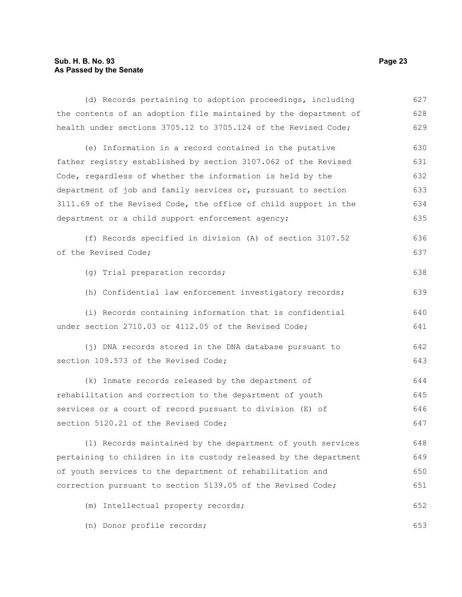### **Sub. H. B. No. 93 Page 23 As Passed by the Senate**

| (d) Records pertaining to adoption proceedings, including        | 627 |
|------------------------------------------------------------------|-----|
| the contents of an adoption file maintained by the department of | 628 |
| health under sections 3705.12 to 3705.124 of the Revised Code;   | 629 |
| (e) Information in a record contained in the putative            | 630 |
| father registry established by section 3107.062 of the Revised   | 631 |
| Code, regardless of whether the information is held by the       | 632 |
| department of job and family services or, pursuant to section    | 633 |
| 3111.69 of the Revised Code, the office of child support in the  | 634 |
| department or a child support enforcement agency;                | 635 |
| (f) Records specified in division (A) of section 3107.52         | 636 |
| of the Revised Code;                                             | 637 |
| (g) Trial preparation records;                                   | 638 |
| (h) Confidential law enforcement investigatory records;          | 639 |
| (i) Records containing information that is confidential          | 640 |
| under section 2710.03 or 4112.05 of the Revised Code;            | 641 |
| (j) DNA records stored in the DNA database pursuant to           | 642 |
| section 109.573 of the Revised Code;                             | 643 |
| (k) Inmate records released by the department of                 | 644 |
| rehabilitation and correction to the department of youth         | 645 |
| services or a court of record pursuant to division (E) of        | 646 |
| section 5120.21 of the Revised Code;                             | 647 |
| (1) Records maintained by the department of youth services       | 648 |
| pertaining to children in its custody released by the department | 649 |
| of youth services to the department of rehabilitation and        | 650 |
| correction pursuant to section 5139.05 of the Revised Code;      | 651 |
| Intellectual property records;<br>(m)                            | 652 |
| (n) Donor profile records;                                       | 653 |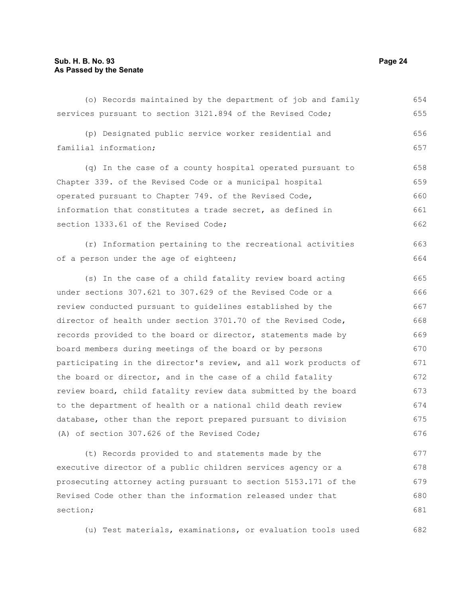section;

| (o) Records maintained by the department of job and family       | 654 |
|------------------------------------------------------------------|-----|
| services pursuant to section 3121.894 of the Revised Code;       | 655 |
| (p) Designated public service worker residential and             | 656 |
| familial information;                                            | 657 |
| (q) In the case of a county hospital operated pursuant to        | 658 |
| Chapter 339. of the Revised Code or a municipal hospital         | 659 |
| operated pursuant to Chapter 749. of the Revised Code,           | 660 |
| information that constitutes a trade secret, as defined in       | 661 |
| section 1333.61 of the Revised Code;                             | 662 |
| (r) Information pertaining to the recreational activities        | 663 |
| of a person under the age of eighteen;                           | 664 |
| (s) In the case of a child fatality review board acting          | 665 |
| under sections 307.621 to 307.629 of the Revised Code or a       | 666 |
| review conducted pursuant to guidelines established by the       | 667 |
| director of health under section 3701.70 of the Revised Code,    | 668 |
| records provided to the board or director, statements made by    | 669 |
| board members during meetings of the board or by persons         | 670 |
| participating in the director's review, and all work products of | 671 |
| the board or director, and in the case of a child fatality       | 672 |
| review board, child fatality review data submitted by the board  | 673 |
| to the department of health or a national child death review     | 674 |
| database, other than the report prepared pursuant to division    | 675 |
| (A) of section 307.626 of the Revised Code;                      | 676 |
| (t) Records provided to and statements made by the               | 677 |
| executive director of a public children services agency or a     | 678 |
| prosecuting attorney acting pursuant to section 5153.171 of the  | 679 |
| Revised Code other than the information released under that      | 680 |

(u) Test materials, examinations, or evaluation tools used 682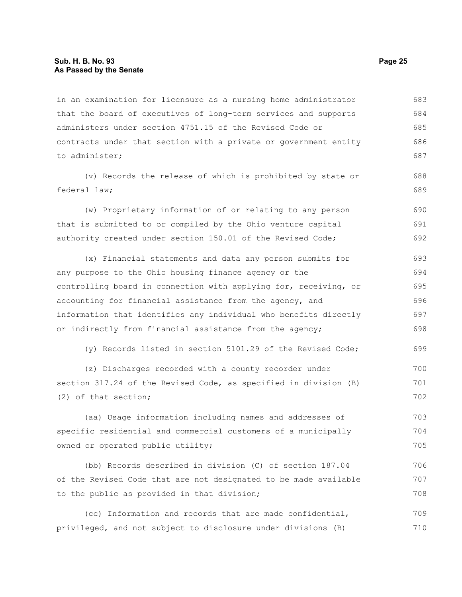#### **Sub. H. B. No. 93 Page 25 As Passed by the Senate**

in an examination for licensure as a nursing home administrator that the board of executives of long-term services and supports administers under section 4751.15 of the Revised Code or contracts under that section with a private or government entity to administer; 683 684 685 686 687

(v) Records the release of which is prohibited by state or federal law;

(w) Proprietary information of or relating to any person that is submitted to or compiled by the Ohio venture capital authority created under section 150.01 of the Revised Code; 690 691 692

(x) Financial statements and data any person submits for any purpose to the Ohio housing finance agency or the controlling board in connection with applying for, receiving, or accounting for financial assistance from the agency, and information that identifies any individual who benefits directly or indirectly from financial assistance from the agency; 693 694 695 696 697 698

(y) Records listed in section 5101.29 of the Revised Code; 699

(z) Discharges recorded with a county recorder under section 317.24 of the Revised Code, as specified in division (B) (2) of that section; 700 701 702

(aa) Usage information including names and addresses of specific residential and commercial customers of a municipally owned or operated public utility; 703 704 705

(bb) Records described in division (C) of section 187.04 of the Revised Code that are not designated to be made available to the public as provided in that division; 706 707 708

(cc) Information and records that are made confidential, privileged, and not subject to disclosure under divisions (B) 709 710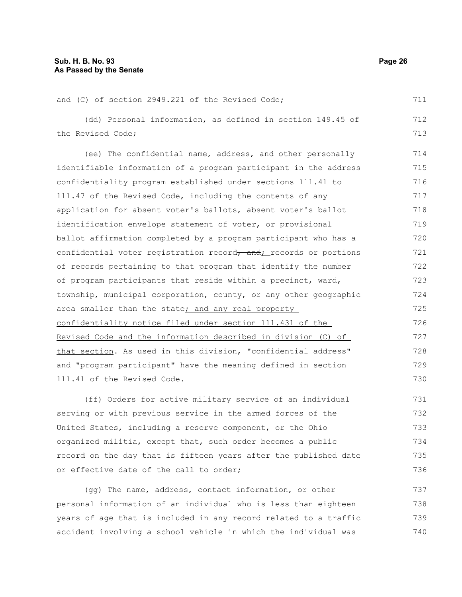| and (C) of section 2949.221 of the Revised Code;                             | 711 |
|------------------------------------------------------------------------------|-----|
| (dd) Personal information, as defined in section 149.45 of                   | 712 |
| the Revised Code;                                                            | 713 |
| (ee) The confidential name, address, and other personally                    | 714 |
| identifiable information of a program participant in the address             | 715 |
| confidentiality program established under sections 111.41 to                 | 716 |
| 111.47 of the Revised Code, including the contents of any                    | 717 |
| application for absent voter's ballots, absent voter's ballot                | 718 |
| identification envelope statement of voter, or provisional                   | 719 |
| ballot affirmation completed by a program participant who has a              | 720 |
| confidential voter registration record <sub>7</sub> and; records or portions | 721 |
| of records pertaining to that program that identify the number               | 722 |
| of program participants that reside within a precinct, ward,                 | 723 |
| township, municipal corporation, county, or any other geographic             | 724 |
| area smaller than the state; and any real property                           | 725 |
| confidentiality notice filed under section 111.431 of the                    | 726 |
| <u>Revised Code and the information described in division (C) of </u>        | 727 |
| that section. As used in this division, "confidential address"               | 728 |
| and "program participant" have the meaning defined in section                | 729 |
| 111.41 of the Revised Code.                                                  | 730 |
|                                                                              |     |

(ff) Orders for active military service of an individual serving or with previous service in the armed forces of the United States, including a reserve component, or the Ohio organized militia, except that, such order becomes a public record on the day that is fifteen years after the published date or effective date of the call to order; 731 732 733 734 735 736

(gg) The name, address, contact information, or other personal information of an individual who is less than eighteen years of age that is included in any record related to a traffic accident involving a school vehicle in which the individual was 737 738 739 740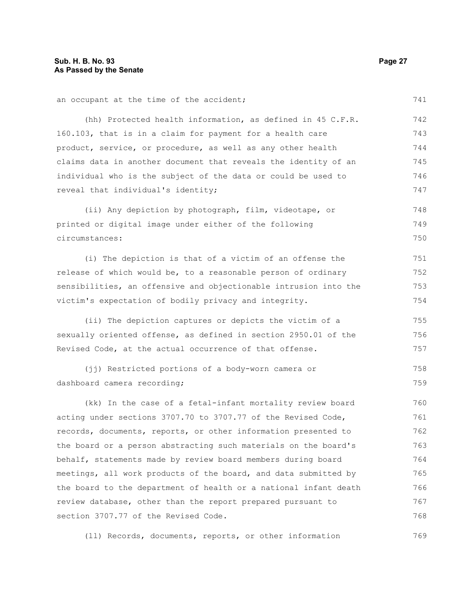an occupant at the time of the accident; (hh) Protected health information, as defined in 45 C.F.R. 160.103, that is in a claim for payment for a health care product, service, or procedure, as well as any other health claims data in another document that reveals the identity of an individual who is the subject of the data or could be used to reveal that individual's identity; (ii) Any depiction by photograph, film, videotape, or printed or digital image under either of the following circumstances: (i) The depiction is that of a victim of an offense the release of which would be, to a reasonable person of ordinary sensibilities, an offensive and objectionable intrusion into the victim's expectation of bodily privacy and integrity. (ii) The depiction captures or depicts the victim of a sexually oriented offense, as defined in section 2950.01 of the Revised Code, at the actual occurrence of that offense. (jj) Restricted portions of a body-worn camera or dashboard camera recording; (kk) In the case of a fetal-infant mortality review board acting under sections 3707.70 to 3707.77 of the Revised Code, records, documents, reports, or other information presented to the board or a person abstracting such materials on the board's behalf, statements made by review board members during board meetings, all work products of the board, and data submitted by 741 742 743 744 745 746 747 748 749 750 751 752 753 754 755 756 757 758 759 760 761 762 763 764 765

the board to the department of health or a national infant death review database, other than the report prepared pursuant to section 3707.77 of the Revised Code. 766 767 768

(ll) Records, documents, reports, or other information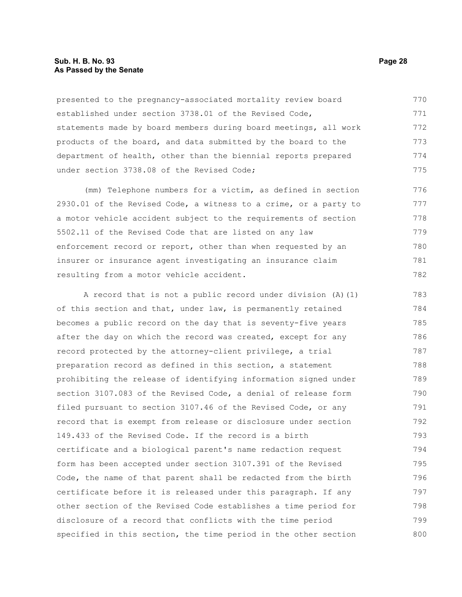#### **Sub. H. B. No. 93 Page 28 As Passed by the Senate**

presented to the pregnancy-associated mortality review board established under section 3738.01 of the Revised Code, statements made by board members during board meetings, all work products of the board, and data submitted by the board to the department of health, other than the biennial reports prepared under section 3738.08 of the Revised Code; 770 771 772 773 774 775

(mm) Telephone numbers for a victim, as defined in section 2930.01 of the Revised Code, a witness to a crime, or a party to a motor vehicle accident subject to the requirements of section 5502.11 of the Revised Code that are listed on any law enforcement record or report, other than when requested by an insurer or insurance agent investigating an insurance claim resulting from a motor vehicle accident. 776 777 778 779 780 781 782

A record that is not a public record under division (A)(1) of this section and that, under law, is permanently retained becomes a public record on the day that is seventy-five years after the day on which the record was created, except for any record protected by the attorney-client privilege, a trial preparation record as defined in this section, a statement prohibiting the release of identifying information signed under section 3107.083 of the Revised Code, a denial of release form filed pursuant to section 3107.46 of the Revised Code, or any record that is exempt from release or disclosure under section 149.433 of the Revised Code. If the record is a birth certificate and a biological parent's name redaction request form has been accepted under section 3107.391 of the Revised Code, the name of that parent shall be redacted from the birth certificate before it is released under this paragraph. If any other section of the Revised Code establishes a time period for disclosure of a record that conflicts with the time period specified in this section, the time period in the other section 783 784 785 786 787 788 789 790 791 792 793 794 795 796 797 798 799 800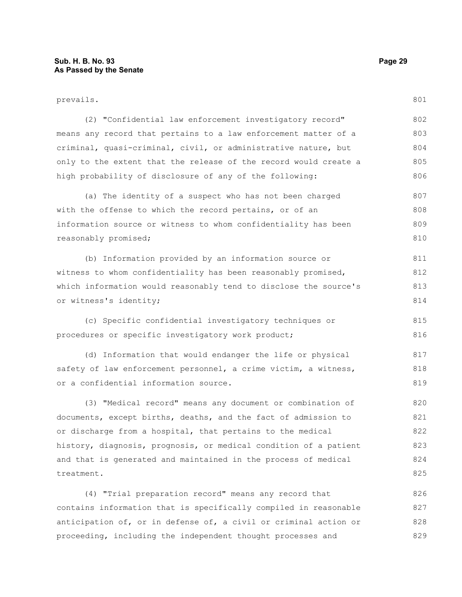| prevails.                                                        | 801 |
|------------------------------------------------------------------|-----|
| (2) "Confidential law enforcement investigatory record"          | 802 |
| means any record that pertains to a law enforcement matter of a  | 803 |
| criminal, quasi-criminal, civil, or administrative nature, but   | 804 |
| only to the extent that the release of the record would create a | 805 |
| high probability of disclosure of any of the following:          | 806 |
| (a) The identity of a suspect who has not been charged           | 807 |
| with the offense to which the record pertains, or of an          | 808 |
| information source or witness to whom confidentiality has been   | 809 |
| reasonably promised;                                             | 810 |
| (b) Information provided by an information source or             | 811 |
| witness to whom confidentiality has been reasonably promised,    | 812 |
| which information would reasonably tend to disclose the source's | 813 |
| or witness's identity;                                           | 814 |
| (c) Specific confidential investigatory techniques or            | 815 |
| procedures or specific investigatory work product;               | 816 |
| (d) Information that would endanger the life or physical         | 817 |
| safety of law enforcement personnel, a crime victim, a witness,  | 818 |
| or a confidential information source.                            | 819 |
| (3) "Medical record" means any document or combination of        | 820 |
| documents, except births, deaths, and the fact of admission to   | 821 |
| or discharge from a hospital, that pertains to the medical       | 822 |
| history, diagnosis, prognosis, or medical condition of a patient | 823 |
| and that is generated and maintained in the process of medical   | 824 |
| treatment.                                                       | 825 |

(4) "Trial preparation record" means any record that contains information that is specifically compiled in reasonable anticipation of, or in defense of, a civil or criminal action or proceeding, including the independent thought processes and 826 827 828 829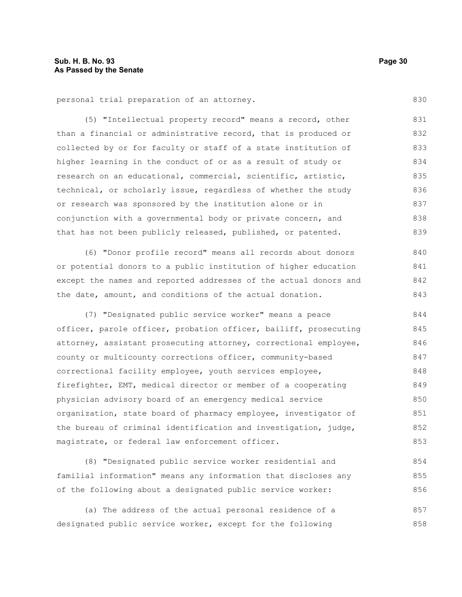personal trial preparation of an attorney.

(5) "Intellectual property record" means a record, other than a financial or administrative record, that is produced or collected by or for faculty or staff of a state institution of higher learning in the conduct of or as a result of study or research on an educational, commercial, scientific, artistic, technical, or scholarly issue, regardless of whether the study or research was sponsored by the institution alone or in conjunction with a governmental body or private concern, and that has not been publicly released, published, or patented. 831 832 833 835 836 837 838 839

(6) "Donor profile record" means all records about donors or potential donors to a public institution of higher education except the names and reported addresses of the actual donors and the date, amount, and conditions of the actual donation. 840 841 842 843

(7) "Designated public service worker" means a peace officer, parole officer, probation officer, bailiff, prosecuting attorney, assistant prosecuting attorney, correctional employee, county or multicounty corrections officer, community-based correctional facility employee, youth services employee, firefighter, EMT, medical director or member of a cooperating physician advisory board of an emergency medical service organization, state board of pharmacy employee, investigator of the bureau of criminal identification and investigation, judge, magistrate, or federal law enforcement officer. 844 845 846 847 848 849 850 851 852 853

(8) "Designated public service worker residential and familial information" means any information that discloses any of the following about a designated public service worker: 854 855 856

(a) The address of the actual personal residence of a designated public service worker, except for the following 857 858

830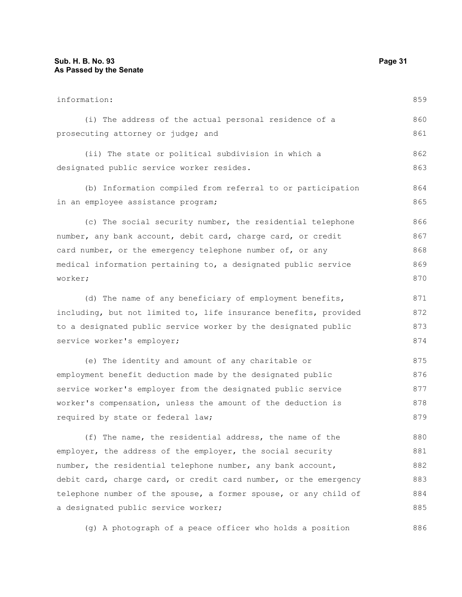| information:                                                     | 859 |
|------------------------------------------------------------------|-----|
| (i) The address of the actual personal residence of a            | 860 |
| prosecuting attorney or judge; and                               | 861 |
| (ii) The state or political subdivision in which a               | 862 |
| designated public service worker resides.                        | 863 |
| (b) Information compiled from referral to or participation       | 864 |
| in an employee assistance program;                               | 865 |
| (c) The social security number, the residential telephone        | 866 |
| number, any bank account, debit card, charge card, or credit     | 867 |
| card number, or the emergency telephone number of, or any        | 868 |
| medical information pertaining to, a designated public service   | 869 |
| worker;                                                          | 870 |
| (d) The name of any beneficiary of employment benefits,          | 871 |
| including, but not limited to, life insurance benefits, provided | 872 |
| to a designated public service worker by the designated public   | 873 |
| service worker's employer;                                       | 874 |
| (e) The identity and amount of any charitable or                 | 875 |
| employment benefit deduction made by the designated public       | 876 |
| service worker's employer from the designated public service     | 877 |
| worker's compensation, unless the amount of the deduction is     | 878 |
| required by state or federal law;                                | 879 |
| (f) The name, the residential address, the name of the           | 880 |
| employer, the address of the employer, the social security       | 881 |
| number, the residential telephone number, any bank account,      | 882 |

debit card, charge card, or credit card number, or the emergency telephone number of the spouse, a former spouse, or any child of a designated public service worker; 883 884 885

(g) A photograph of a peace officer who holds a position 886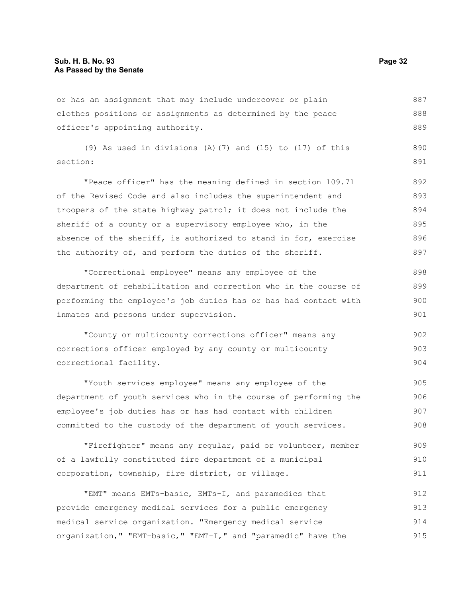or has an assignment that may include undercover or plain clothes positions or assignments as determined by the peace officer's appointing authority. 887 888 889

(9) As used in divisions (A)(7) and (15) to (17) of this section: 890 891

"Peace officer" has the meaning defined in section 109.71 of the Revised Code and also includes the superintendent and troopers of the state highway patrol; it does not include the sheriff of a county or a supervisory employee who, in the absence of the sheriff, is authorized to stand in for, exercise the authority of, and perform the duties of the sheriff. 892 893 894 895 896 897

"Correctional employee" means any employee of the department of rehabilitation and correction who in the course of performing the employee's job duties has or has had contact with inmates and persons under supervision. 898 899 900 901

"County or multicounty corrections officer" means any corrections officer employed by any county or multicounty correctional facility. 902 903 904

"Youth services employee" means any employee of the department of youth services who in the course of performing the employee's job duties has or has had contact with children committed to the custody of the department of youth services. 905 906 907 908

"Firefighter" means any regular, paid or volunteer, member of a lawfully constituted fire department of a municipal corporation, township, fire district, or village. 909 910 911

"EMT" means EMTs-basic, EMTs-I, and paramedics that provide emergency medical services for a public emergency medical service organization. "Emergency medical service organization," "EMT-basic," "EMT-I," and "paramedic" have the 912 913 914 915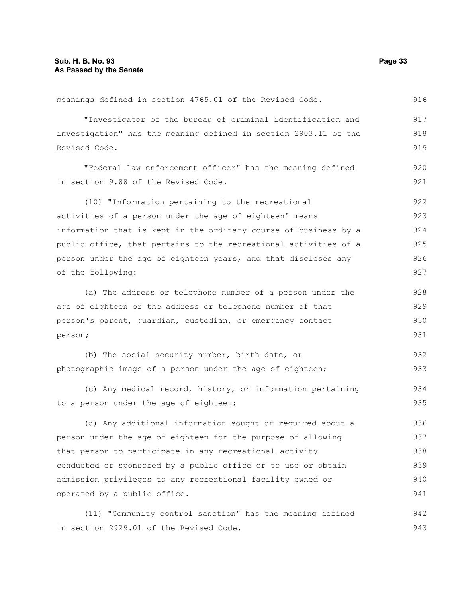| meanings defined in section 4765.01 of the Revised Code.         | 916 |
|------------------------------------------------------------------|-----|
| "Investigator of the bureau of criminal identification and       | 917 |
| investigation" has the meaning defined in section 2903.11 of the | 918 |
| Revised Code.                                                    | 919 |
| "Federal law enforcement officer" has the meaning defined        | 920 |
| in section 9.88 of the Revised Code.                             | 921 |
| (10) "Information pertaining to the recreational                 | 922 |
| activities of a person under the age of eighteen" means          | 923 |
| information that is kept in the ordinary course of business by a | 924 |
| public office, that pertains to the recreational activities of a | 925 |
| person under the age of eighteen years, and that discloses any   | 926 |
| of the following:                                                | 927 |
| (a) The address or telephone number of a person under the        | 928 |
| age of eighteen or the address or telephone number of that       | 929 |
| person's parent, quardian, custodian, or emergency contact       | 930 |
| person;                                                          | 931 |
| (b) The social security number, birth date, or                   | 932 |
| photographic image of a person under the age of eighteen;        | 933 |
| (c) Any medical record, history, or information pertaining       | 934 |
| to a person under the age of eighteen;                           | 935 |
| (d) Any additional information sought or required about a        | 936 |
| person under the age of eighteen for the purpose of allowing     | 937 |
| that person to participate in any recreational activity          | 938 |
| conducted or sponsored by a public office or to use or obtain    | 939 |
| admission privileges to any recreational facility owned or       | 940 |
| operated by a public office.                                     | 941 |
| (11) "Community control sanction" has the meaning defined        | 942 |
| in section 2929.01 of the Revised Code.                          | 943 |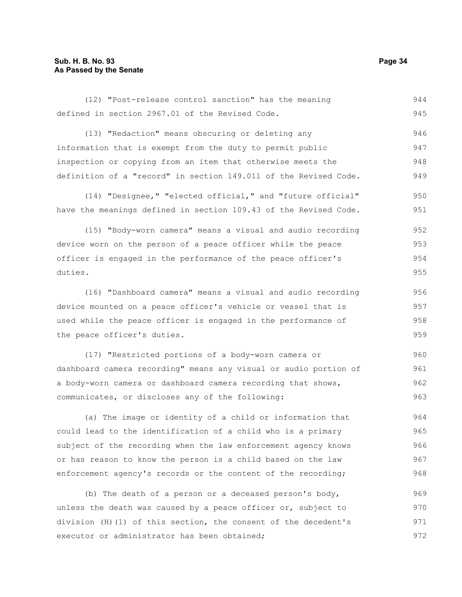(12) "Post-release control sanction" has the meaning defined in section 2967.01 of the Revised Code. 944 945

(13) "Redaction" means obscuring or deleting any information that is exempt from the duty to permit public inspection or copying from an item that otherwise meets the definition of a "record" in section 149.011 of the Revised Code. 946 947 948 949

(14) "Designee," "elected official," and "future official" have the meanings defined in section 109.43 of the Revised Code. 950 951

(15) "Body-worn camera" means a visual and audio recording device worn on the person of a peace officer while the peace officer is engaged in the performance of the peace officer's duties. 952 953 954 955

(16) "Dashboard camera" means a visual and audio recording device mounted on a peace officer's vehicle or vessel that is used while the peace officer is engaged in the performance of the peace officer's duties. 956 957 958 959

(17) "Restricted portions of a body-worn camera or dashboard camera recording" means any visual or audio portion of a body-worn camera or dashboard camera recording that shows, communicates, or discloses any of the following: 960 961 962 963

(a) The image or identity of a child or information that could lead to the identification of a child who is a primary subject of the recording when the law enforcement agency knows or has reason to know the person is a child based on the law enforcement agency's records or the content of the recording; 964 965 966 967 968

(b) The death of a person or a deceased person's body, unless the death was caused by a peace officer or, subject to division (H)(1) of this section, the consent of the decedent's executor or administrator has been obtained; 969 970 971 972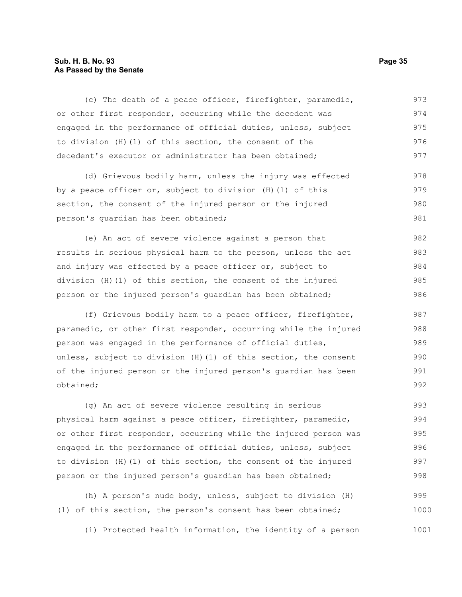#### **Sub. H. B. No. 93 Page 35 As Passed by the Senate**

(c) The death of a peace officer, firefighter, paramedic, or other first responder, occurring while the decedent was engaged in the performance of official duties, unless, subject to division (H)(1) of this section, the consent of the decedent's executor or administrator has been obtained; 973 974 975 976 977

(d) Grievous bodily harm, unless the injury was effected by a peace officer or, subject to division (H)(1) of this section, the consent of the injured person or the injured person's guardian has been obtained; 978 979 980 981

(e) An act of severe violence against a person that results in serious physical harm to the person, unless the act and injury was effected by a peace officer or, subject to division (H)(1) of this section, the consent of the injured person or the injured person's guardian has been obtained; 982 983 984 985 986

(f) Grievous bodily harm to a peace officer, firefighter, paramedic, or other first responder, occurring while the injured person was engaged in the performance of official duties, unless, subject to division (H)(1) of this section, the consent of the injured person or the injured person's guardian has been obtained; 987 988 989 990 991 992

(g) An act of severe violence resulting in serious physical harm against a peace officer, firefighter, paramedic, or other first responder, occurring while the injured person was engaged in the performance of official duties, unless, subject to division (H)(1) of this section, the consent of the injured person or the injured person's guardian has been obtained; 993 994 995 996 997 998

(h) A person's nude body, unless, subject to division (H) (1) of this section, the person's consent has been obtained; 999 1000

(i) Protected health information, the identity of a person 1001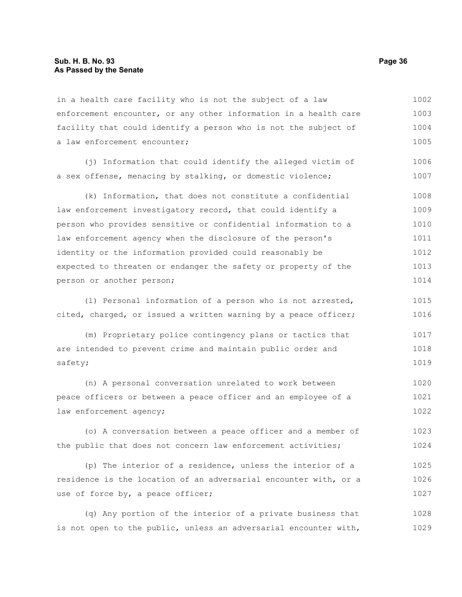in a health care facility who is not the subject of a law enforcement encounter, or any other information in a health care facility that could identify a person who is not the subject of a law enforcement encounter; 1002 1003 1004 1005

(j) Information that could identify the alleged victim of a sex offense, menacing by stalking, or domestic violence; 1006 1007

(k) Information, that does not constitute a confidential law enforcement investigatory record, that could identify a person who provides sensitive or confidential information to a law enforcement agency when the disclosure of the person's identity or the information provided could reasonably be expected to threaten or endanger the safety or property of the person or another person; 1008 1009 1010 1011 1012 1013 1014

(l) Personal information of a person who is not arrested, cited, charged, or issued a written warning by a peace officer; 1015 1016

(m) Proprietary police contingency plans or tactics that are intended to prevent crime and maintain public order and safety; 1017 1018 1019

(n) A personal conversation unrelated to work between peace officers or between a peace officer and an employee of a law enforcement agency; 1020 1021 1022

(o) A conversation between a peace officer and a member of the public that does not concern law enforcement activities; 1023 1024

(p) The interior of a residence, unless the interior of a residence is the location of an adversarial encounter with, or a use of force by, a peace officer; 1025 1026 1027

(q) Any portion of the interior of a private business that is not open to the public, unless an adversarial encounter with, 1028 1029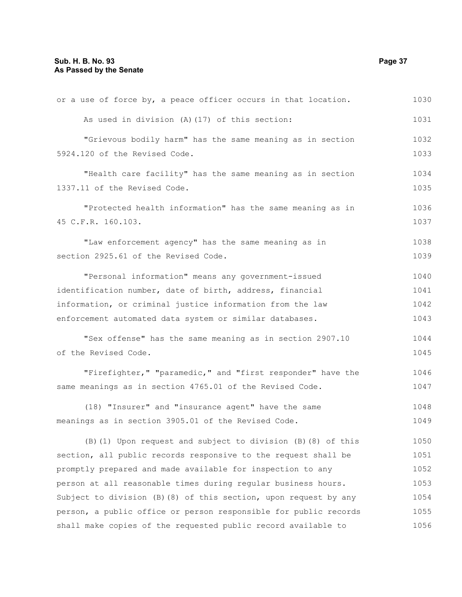| or a use of force by, a peace officer occurs in that location.   | 1030 |
|------------------------------------------------------------------|------|
| As used in division (A) (17) of this section:                    | 1031 |
| "Grievous bodily harm" has the same meaning as in section        | 1032 |
| 5924.120 of the Revised Code.                                    | 1033 |
| "Health care facility" has the same meaning as in section        | 1034 |
| 1337.11 of the Revised Code.                                     | 1035 |
| "Protected health information" has the same meaning as in        | 1036 |
| 45 C.F.R. 160.103.                                               | 1037 |
| "Law enforcement agency" has the same meaning as in              | 1038 |
| section 2925.61 of the Revised Code.                             | 1039 |
| "Personal information" means any government-issued               | 1040 |
| identification number, date of birth, address, financial         | 1041 |
| information, or criminal justice information from the law        | 1042 |
| enforcement automated data system or similar databases.          | 1043 |
| "Sex offense" has the same meaning as in section 2907.10         | 1044 |
| of the Revised Code.                                             | 1045 |
| "Firefighter," "paramedic," and "first responder" have the       | 1046 |
| same meanings as in section 4765.01 of the Revised Code.         | 1047 |
| (18) "Insurer" and "insurance agent" have the same               | 1048 |
| meanings as in section 3905.01 of the Revised Code.              | 1049 |
| (B) (1) Upon request and subject to division (B) (8) of this     | 1050 |
| section, all public records responsive to the request shall be   | 1051 |
| promptly prepared and made available for inspection to any       | 1052 |
| person at all reasonable times during regular business hours.    | 1053 |
| Subject to division (B) (8) of this section, upon request by any | 1054 |
| person, a public office or person responsible for public records | 1055 |
| shall make copies of the requested public record available to    | 1056 |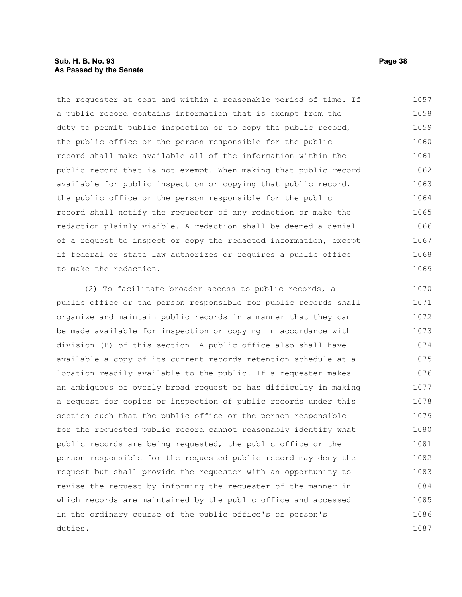### **Sub. H. B. No. 93 Page 38 As Passed by the Senate**

the requester at cost and within a reasonable period of time. If a public record contains information that is exempt from the duty to permit public inspection or to copy the public record, the public office or the person responsible for the public record shall make available all of the information within the public record that is not exempt. When making that public record available for public inspection or copying that public record, the public office or the person responsible for the public record shall notify the requester of any redaction or make the redaction plainly visible. A redaction shall be deemed a denial of a request to inspect or copy the redacted information, except if federal or state law authorizes or requires a public office to make the redaction. 1057 1058 1059 1060 1061 1062 1063 1064 1065 1066 1067 1068 1069

(2) To facilitate broader access to public records, a public office or the person responsible for public records shall organize and maintain public records in a manner that they can be made available for inspection or copying in accordance with division (B) of this section. A public office also shall have available a copy of its current records retention schedule at a location readily available to the public. If a requester makes an ambiguous or overly broad request or has difficulty in making a request for copies or inspection of public records under this section such that the public office or the person responsible for the requested public record cannot reasonably identify what public records are being requested, the public office or the person responsible for the requested public record may deny the request but shall provide the requester with an opportunity to revise the request by informing the requester of the manner in which records are maintained by the public office and accessed in the ordinary course of the public office's or person's duties. 1070 1071 1072 1073 1074 1075 1076 1077 1078 1079 1080 1081 1082 1083 1084 1085 1086 1087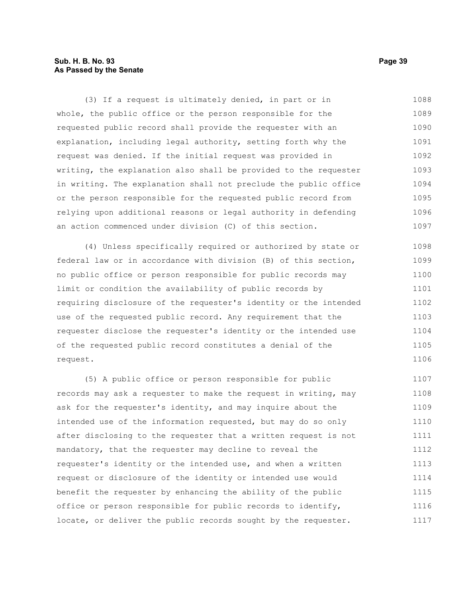### **Sub. H. B. No. 93 Page 39 As Passed by the Senate**

(3) If a request is ultimately denied, in part or in whole, the public office or the person responsible for the requested public record shall provide the requester with an explanation, including legal authority, setting forth why the request was denied. If the initial request was provided in writing, the explanation also shall be provided to the requester in writing. The explanation shall not preclude the public office or the person responsible for the requested public record from relying upon additional reasons or legal authority in defending an action commenced under division (C) of this section. 1088 1089 1090 1091 1092 1093 1094 1095 1096 1097

(4) Unless specifically required or authorized by state or federal law or in accordance with division (B) of this section, no public office or person responsible for public records may limit or condition the availability of public records by requiring disclosure of the requester's identity or the intended use of the requested public record. Any requirement that the requester disclose the requester's identity or the intended use of the requested public record constitutes a denial of the request. 1098 1099 1100 1101 1102 1103 1104 1105 1106

(5) A public office or person responsible for public records may ask a requester to make the request in writing, may ask for the requester's identity, and may inquire about the intended use of the information requested, but may do so only after disclosing to the requester that a written request is not mandatory, that the requester may decline to reveal the requester's identity or the intended use, and when a written request or disclosure of the identity or intended use would benefit the requester by enhancing the ability of the public office or person responsible for public records to identify, locate, or deliver the public records sought by the requester. 1107 1108 1109 1110 1111 1112 1113 1114 1115 1116 1117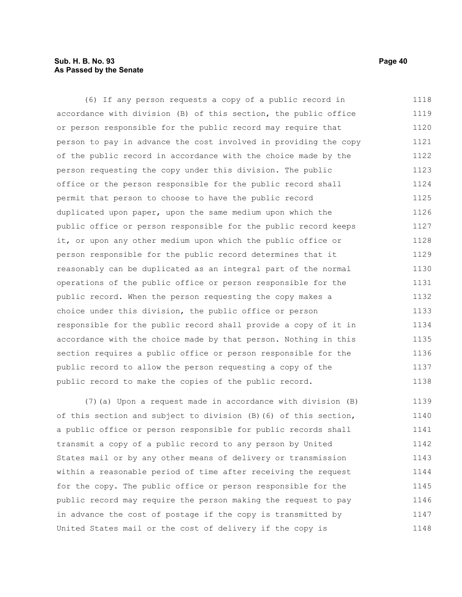### **Sub. H. B. No. 93 Page 40 As Passed by the Senate**

(6) If any person requests a copy of a public record in accordance with division (B) of this section, the public office or person responsible for the public record may require that person to pay in advance the cost involved in providing the copy of the public record in accordance with the choice made by the person requesting the copy under this division. The public office or the person responsible for the public record shall permit that person to choose to have the public record duplicated upon paper, upon the same medium upon which the public office or person responsible for the public record keeps it, or upon any other medium upon which the public office or person responsible for the public record determines that it reasonably can be duplicated as an integral part of the normal operations of the public office or person responsible for the public record. When the person requesting the copy makes a choice under this division, the public office or person responsible for the public record shall provide a copy of it in accordance with the choice made by that person. Nothing in this section requires a public office or person responsible for the public record to allow the person requesting a copy of the public record to make the copies of the public record. 1118 1119 1120 1121 1122 1123 1124 1125 1126 1127 1128 1129 1130 1131 1132 1133 1134 1135 1136 1137 1138

(7)(a) Upon a request made in accordance with division (B) of this section and subject to division (B)(6) of this section, a public office or person responsible for public records shall transmit a copy of a public record to any person by United States mail or by any other means of delivery or transmission within a reasonable period of time after receiving the request for the copy. The public office or person responsible for the public record may require the person making the request to pay in advance the cost of postage if the copy is transmitted by United States mail or the cost of delivery if the copy is 1139 1140 1141 1142 1143 1144 1145 1146 1147 1148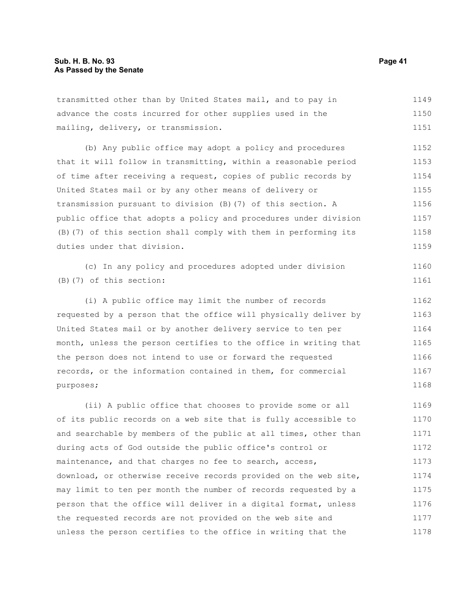transmitted other than by United States mail, and to pay in advance the costs incurred for other supplies used in the mailing, delivery, or transmission. 1149 1150 1151

(b) Any public office may adopt a policy and procedures that it will follow in transmitting, within a reasonable period of time after receiving a request, copies of public records by United States mail or by any other means of delivery or transmission pursuant to division (B)(7) of this section. A public office that adopts a policy and procedures under division (B)(7) of this section shall comply with them in performing its duties under that division. 1152 1153 1154 1155 1156 1157 1158 1159

(c) In any policy and procedures adopted under division (B)(7) of this section:

(i) A public office may limit the number of records requested by a person that the office will physically deliver by United States mail or by another delivery service to ten per month, unless the person certifies to the office in writing that the person does not intend to use or forward the requested records, or the information contained in them, for commercial purposes; 1162 1163 1164 1165 1166 1167 1168

(ii) A public office that chooses to provide some or all of its public records on a web site that is fully accessible to and searchable by members of the public at all times, other than during acts of God outside the public office's control or maintenance, and that charges no fee to search, access, download, or otherwise receive records provided on the web site, may limit to ten per month the number of records requested by a person that the office will deliver in a digital format, unless the requested records are not provided on the web site and unless the person certifies to the office in writing that the 1169 1170 1171 1172 1173 1174 1175 1176 1177 1178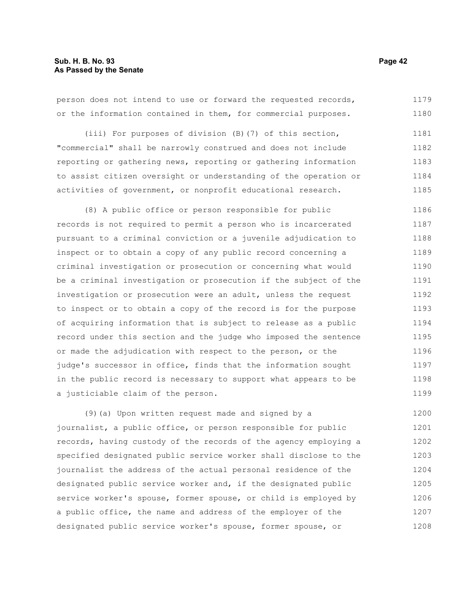#### **Sub. H. B. No. 93 Page 42 As Passed by the Senate**

person does not intend to use or forward the requested records, or the information contained in them, for commercial purposes. 1179 1180

(iii) For purposes of division (B)(7) of this section, "commercial" shall be narrowly construed and does not include reporting or gathering news, reporting or gathering information to assist citizen oversight or understanding of the operation or activities of government, or nonprofit educational research. 1181 1182 1183 1184 1185

(8) A public office or person responsible for public records is not required to permit a person who is incarcerated pursuant to a criminal conviction or a juvenile adjudication to inspect or to obtain a copy of any public record concerning a criminal investigation or prosecution or concerning what would be a criminal investigation or prosecution if the subject of the investigation or prosecution were an adult, unless the request to inspect or to obtain a copy of the record is for the purpose of acquiring information that is subject to release as a public record under this section and the judge who imposed the sentence or made the adjudication with respect to the person, or the judge's successor in office, finds that the information sought in the public record is necessary to support what appears to be a justiciable claim of the person. 1186 1187 1188 1189 1190 1191 1192 1193 1194 1195 1196 1197 1198 1199

(9)(a) Upon written request made and signed by a journalist, a public office, or person responsible for public records, having custody of the records of the agency employing a specified designated public service worker shall disclose to the journalist the address of the actual personal residence of the designated public service worker and, if the designated public service worker's spouse, former spouse, or child is employed by a public office, the name and address of the employer of the designated public service worker's spouse, former spouse, or 1200 1201 1202 1203 1204 1205 1206 1207 1208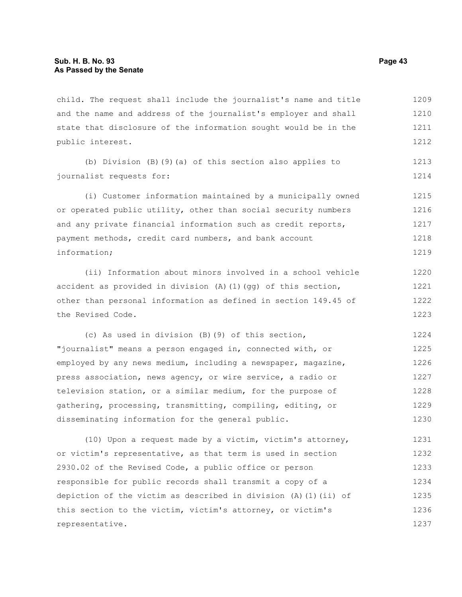child. The request shall include the journalist's name and title and the name and address of the journalist's employer and shall state that disclosure of the information sought would be in the public interest. 1209 1210 1211 1212

(b) Division (B)(9)(a) of this section also applies to journalist requests for:

(i) Customer information maintained by a municipally owned or operated public utility, other than social security numbers and any private financial information such as credit reports, payment methods, credit card numbers, and bank account information; 1215 1216 1217 1218 1219

(ii) Information about minors involved in a school vehicle accident as provided in division (A)(1)(gg) of this section, other than personal information as defined in section 149.45 of the Revised Code. 1220 1221 1222 1223

(c) As used in division (B)(9) of this section, "journalist" means a person engaged in, connected with, or employed by any news medium, including a newspaper, magazine, press association, news agency, or wire service, a radio or television station, or a similar medium, for the purpose of gathering, processing, transmitting, compiling, editing, or disseminating information for the general public. 1224 1225 1226 1227 1228 1229 1230

(10) Upon a request made by a victim, victim's attorney, or victim's representative, as that term is used in section 2930.02 of the Revised Code, a public office or person responsible for public records shall transmit a copy of a depiction of the victim as described in division (A)(1)(ii) of this section to the victim, victim's attorney, or victim's representative. 1231 1232 1233 1234 1235 1236 1237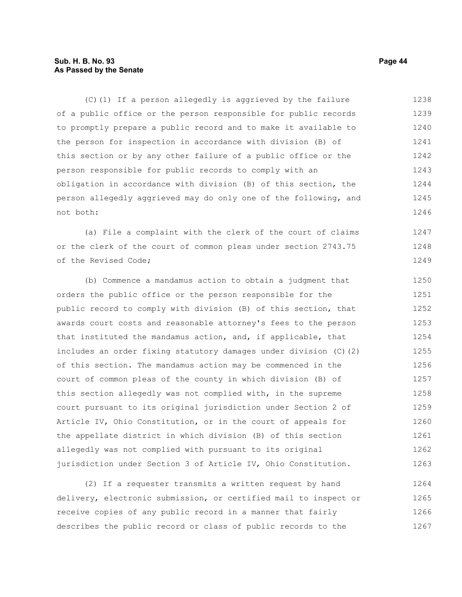### **Sub. H. B. No. 93 Page 44 As Passed by the Senate**

(C)(1) If a person allegedly is aggrieved by the failure of a public office or the person responsible for public records to promptly prepare a public record and to make it available to the person for inspection in accordance with division (B) of this section or by any other failure of a public office or the person responsible for public records to comply with an obligation in accordance with division (B) of this section, the person allegedly aggrieved may do only one of the following, and not both: 1238 1239 1240 1241 1242 1243 1244 1245 1246

(a) File a complaint with the clerk of the court of claims or the clerk of the court of common pleas under section 2743.75 of the Revised Code; 1247 1248 1249

(b) Commence a mandamus action to obtain a judgment that orders the public office or the person responsible for the public record to comply with division (B) of this section, that awards court costs and reasonable attorney's fees to the person that instituted the mandamus action, and, if applicable, that includes an order fixing statutory damages under division (C)(2) of this section. The mandamus action may be commenced in the court of common pleas of the county in which division (B) of this section allegedly was not complied with, in the supreme court pursuant to its original jurisdiction under Section 2 of Article IV, Ohio Constitution, or in the court of appeals for the appellate district in which division (B) of this section allegedly was not complied with pursuant to its original jurisdiction under Section 3 of Article IV, Ohio Constitution. 1250 1251 1252 1253 1254 1255 1256 1257 1258 1259 1260 1261 1262 1263

(2) If a requester transmits a written request by hand delivery, electronic submission, or certified mail to inspect or receive copies of any public record in a manner that fairly describes the public record or class of public records to the 1264 1265 1266 1267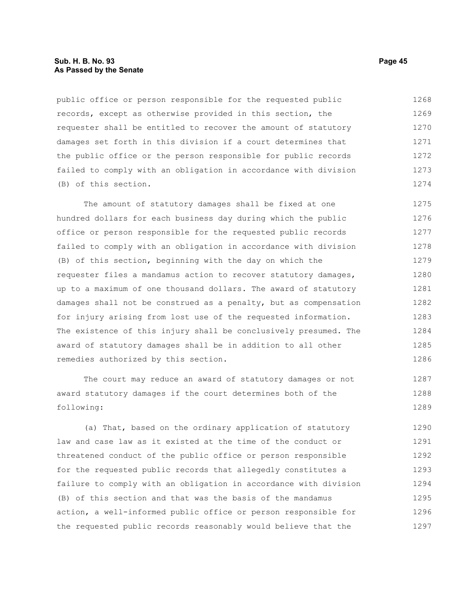#### **Sub. H. B. No. 93 Page 45 As Passed by the Senate**

public office or person responsible for the requested public records, except as otherwise provided in this section, the requester shall be entitled to recover the amount of statutory damages set forth in this division if a court determines that the public office or the person responsible for public records failed to comply with an obligation in accordance with division (B) of this section. 1268 1269 1270 1271 1272 1273 1274

The amount of statutory damages shall be fixed at one hundred dollars for each business day during which the public office or person responsible for the requested public records failed to comply with an obligation in accordance with division (B) of this section, beginning with the day on which the requester files a mandamus action to recover statutory damages, up to a maximum of one thousand dollars. The award of statutory damages shall not be construed as a penalty, but as compensation for injury arising from lost use of the requested information. The existence of this injury shall be conclusively presumed. The award of statutory damages shall be in addition to all other remedies authorized by this section. 1275 1276 1277 1278 1279 1280 1281 1282 1283 1284 1285 1286

The court may reduce an award of statutory damages or not award statutory damages if the court determines both of the following: 1287 1288 1289

(a) That, based on the ordinary application of statutory law and case law as it existed at the time of the conduct or threatened conduct of the public office or person responsible for the requested public records that allegedly constitutes a failure to comply with an obligation in accordance with division (B) of this section and that was the basis of the mandamus action, a well-informed public office or person responsible for the requested public records reasonably would believe that the 1290 1291 1292 1293 1294 1295 1296 1297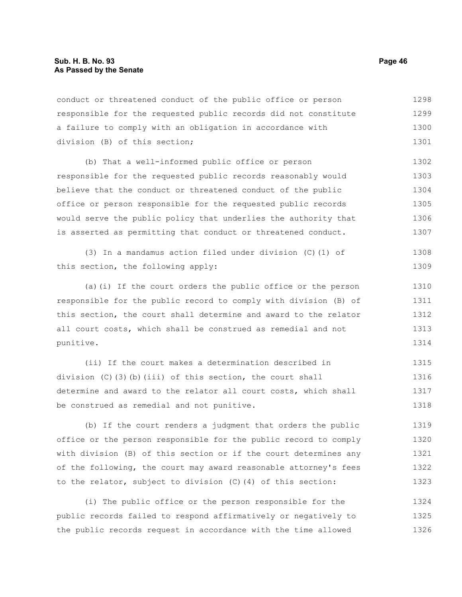conduct or threatened conduct of the public office or person responsible for the requested public records did not constitute a failure to comply with an obligation in accordance with division (B) of this section; 1298 1299 1300 1301

(b) That a well-informed public office or person responsible for the requested public records reasonably would believe that the conduct or threatened conduct of the public office or person responsible for the requested public records would serve the public policy that underlies the authority that is asserted as permitting that conduct or threatened conduct. 1302 1303 1304 1305 1306 1307

(3) In a mandamus action filed under division (C)(1) of this section, the following apply: 1308 1309

(a)(i) If the court orders the public office or the person responsible for the public record to comply with division (B) of this section, the court shall determine and award to the relator all court costs, which shall be construed as remedial and not punitive. 1310 1311 1312 1313 1314

(ii) If the court makes a determination described in division (C)(3)(b)(iii) of this section, the court shall determine and award to the relator all court costs, which shall be construed as remedial and not punitive. 1315 1316 1317 1318

(b) If the court renders a judgment that orders the public office or the person responsible for the public record to comply with division (B) of this section or if the court determines any of the following, the court may award reasonable attorney's fees to the relator, subject to division (C)(4) of this section: 1319 1320 1321 1322 1323

(i) The public office or the person responsible for the public records failed to respond affirmatively or negatively to the public records request in accordance with the time allowed 1324 1325 1326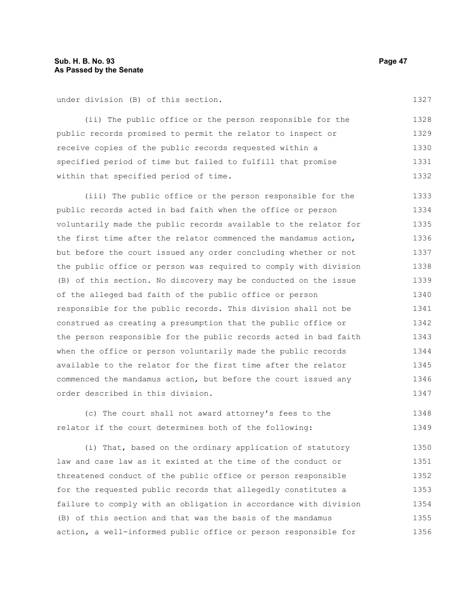under division (B) of this section.

(ii) The public office or the person responsible for the public records promised to permit the relator to inspect or receive copies of the public records requested within a specified period of time but failed to fulfill that promise within that specified period of time. 1328 1329 1330 1331 1332

(iii) The public office or the person responsible for the public records acted in bad faith when the office or person voluntarily made the public records available to the relator for the first time after the relator commenced the mandamus action, but before the court issued any order concluding whether or not the public office or person was required to comply with division (B) of this section. No discovery may be conducted on the issue of the alleged bad faith of the public office or person responsible for the public records. This division shall not be construed as creating a presumption that the public office or the person responsible for the public records acted in bad faith when the office or person voluntarily made the public records available to the relator for the first time after the relator commenced the mandamus action, but before the court issued any order described in this division. 1333 1334 1335 1336 1337 1338 1339 1340 1341 1342 1343 1344 1345 1346 1347

(c) The court shall not award attorney's fees to the relator if the court determines both of the following: 1348 1349

(i) That, based on the ordinary application of statutory law and case law as it existed at the time of the conduct or threatened conduct of the public office or person responsible for the requested public records that allegedly constitutes a failure to comply with an obligation in accordance with division (B) of this section and that was the basis of the mandamus action, a well-informed public office or person responsible for 1350 1351 1352 1353 1354 1355 1356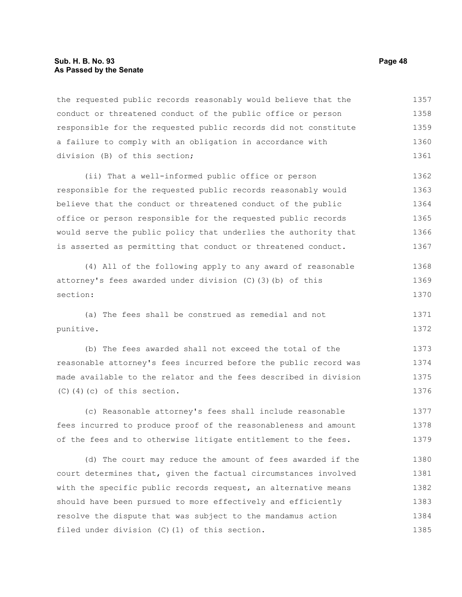#### **Sub. H. B. No. 93 Page 48 As Passed by the Senate**

the requested public records reasonably would believe that the conduct or threatened conduct of the public office or person responsible for the requested public records did not constitute a failure to comply with an obligation in accordance with division (B) of this section; 1357 1358 1359 1360 1361

(ii) That a well-informed public office or person responsible for the requested public records reasonably would believe that the conduct or threatened conduct of the public office or person responsible for the requested public records would serve the public policy that underlies the authority that is asserted as permitting that conduct or threatened conduct. 1362 1363 1364 1365 1366 1367

```
(4) All of the following apply to any award of reasonable
attorney's fees awarded under division (C)(3)(b) of this
section: 
                                                                            1368
                                                                            1369
                                                                            1370
```
(a) The fees shall be construed as remedial and not punitive. 1371 1372

(b) The fees awarded shall not exceed the total of the reasonable attorney's fees incurred before the public record was made available to the relator and the fees described in division (C)(4)(c) of this section. 1373 1374 1375 1376

(c) Reasonable attorney's fees shall include reasonable fees incurred to produce proof of the reasonableness and amount of the fees and to otherwise litigate entitlement to the fees. 1377 1378 1379

(d) The court may reduce the amount of fees awarded if the court determines that, given the factual circumstances involved with the specific public records request, an alternative means should have been pursued to more effectively and efficiently resolve the dispute that was subject to the mandamus action filed under division (C)(1) of this section. 1380 1381 1382 1383 1384 1385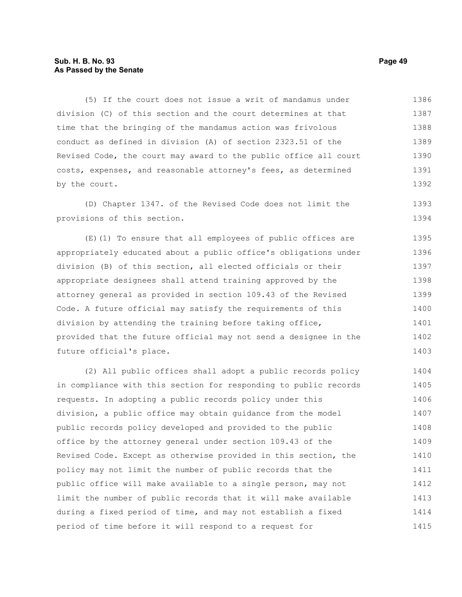### **Sub. H. B. No. 93 Page 49 As Passed by the Senate**

(5) If the court does not issue a writ of mandamus under division (C) of this section and the court determines at that time that the bringing of the mandamus action was frivolous conduct as defined in division (A) of section 2323.51 of the Revised Code, the court may award to the public office all court costs, expenses, and reasonable attorney's fees, as determined by the court. 1386 1387 1388 1389 1390 1391 1392

(D) Chapter 1347. of the Revised Code does not limit the provisions of this section. 1393 1394

(E)(1) To ensure that all employees of public offices are appropriately educated about a public office's obligations under division (B) of this section, all elected officials or their appropriate designees shall attend training approved by the attorney general as provided in section 109.43 of the Revised Code. A future official may satisfy the requirements of this division by attending the training before taking office, provided that the future official may not send a designee in the future official's place. 1395 1396 1397 1398 1399 1400 1401 1402 1403

(2) All public offices shall adopt a public records policy in compliance with this section for responding to public records requests. In adopting a public records policy under this division, a public office may obtain guidance from the model public records policy developed and provided to the public office by the attorney general under section 109.43 of the Revised Code. Except as otherwise provided in this section, the policy may not limit the number of public records that the public office will make available to a single person, may not limit the number of public records that it will make available during a fixed period of time, and may not establish a fixed period of time before it will respond to a request for 1404 1405 1406 1407 1408 1409 1410 1411 1412 1413 1414 1415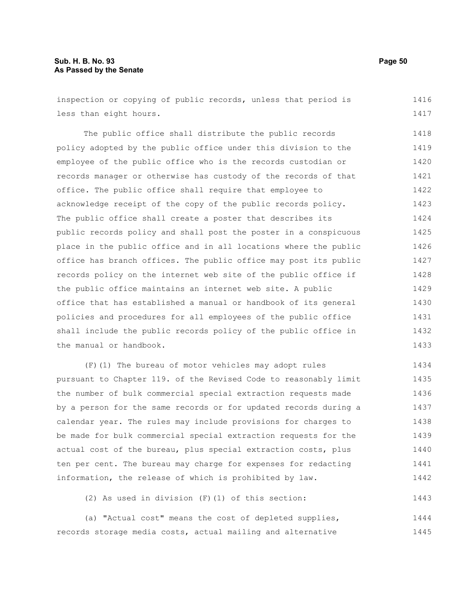inspection or copying of public records, unless that period is less than eight hours. 1416 1417

The public office shall distribute the public records policy adopted by the public office under this division to the employee of the public office who is the records custodian or records manager or otherwise has custody of the records of that office. The public office shall require that employee to acknowledge receipt of the copy of the public records policy. The public office shall create a poster that describes its public records policy and shall post the poster in a conspicuous place in the public office and in all locations where the public office has branch offices. The public office may post its public records policy on the internet web site of the public office if the public office maintains an internet web site. A public office that has established a manual or handbook of its general policies and procedures for all employees of the public office shall include the public records policy of the public office in the manual or handbook. 1418 1419 1420 1421 1422 1423 1424 1425 1426 1427 1428 1429 1430 1431 1432 1433

(F)(1) The bureau of motor vehicles may adopt rules pursuant to Chapter 119. of the Revised Code to reasonably limit the number of bulk commercial special extraction requests made by a person for the same records or for updated records during a calendar year. The rules may include provisions for charges to be made for bulk commercial special extraction requests for the actual cost of the bureau, plus special extraction costs, plus ten per cent. The bureau may charge for expenses for redacting information, the release of which is prohibited by law. 1434 1435 1436 1437 1438 1439 1440 1441 1442

(2) As used in division (F)(1) of this section:

(a) "Actual cost" means the cost of depleted supplies, records storage media costs, actual mailing and alternative 1444 1445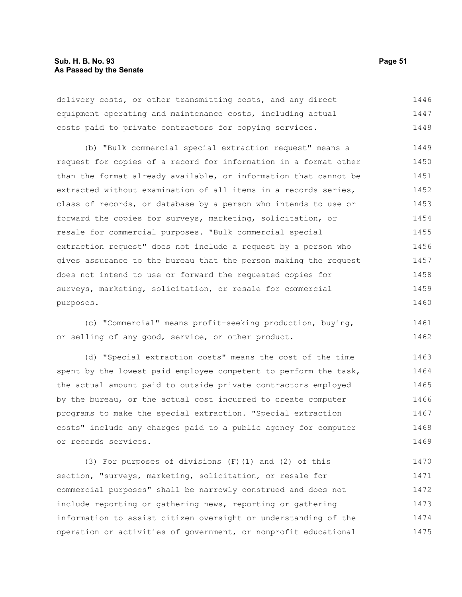delivery costs, or other transmitting costs, and any direct equipment operating and maintenance costs, including actual costs paid to private contractors for copying services. 1446 1447 1448

(b) "Bulk commercial special extraction request" means a request for copies of a record for information in a format other than the format already available, or information that cannot be extracted without examination of all items in a records series, class of records, or database by a person who intends to use or forward the copies for surveys, marketing, solicitation, or resale for commercial purposes. "Bulk commercial special extraction request" does not include a request by a person who gives assurance to the bureau that the person making the request does not intend to use or forward the requested copies for surveys, marketing, solicitation, or resale for commercial purposes. 1449 1450 1451 1452 1453 1454 1455 1456 1457 1458 1459 1460

(c) "Commercial" means profit-seeking production, buying, or selling of any good, service, or other product. 1461 1462

(d) "Special extraction costs" means the cost of the time spent by the lowest paid employee competent to perform the task, the actual amount paid to outside private contractors employed by the bureau, or the actual cost incurred to create computer programs to make the special extraction. "Special extraction costs" include any charges paid to a public agency for computer or records services. 1463 1464 1465 1466 1467 1468 1469

(3) For purposes of divisions (F)(1) and (2) of this section, "surveys, marketing, solicitation, or resale for commercial purposes" shall be narrowly construed and does not include reporting or gathering news, reporting or gathering information to assist citizen oversight or understanding of the operation or activities of government, or nonprofit educational 1470 1471 1472 1473 1474 1475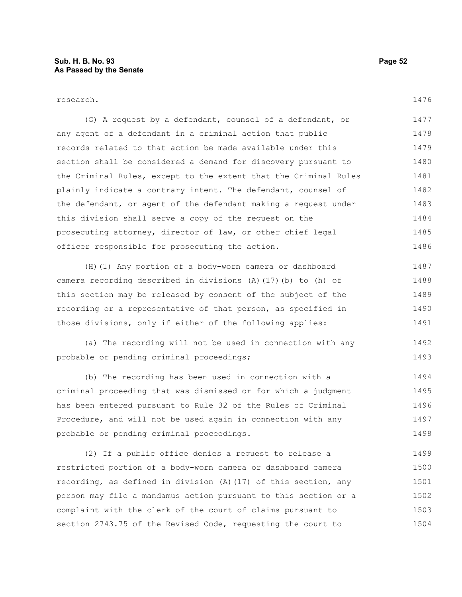1476

1492 1493

| (G) A request by a defendant, counsel of a defendant, or         | 1477 |
|------------------------------------------------------------------|------|
| any agent of a defendant in a criminal action that public        | 1478 |
| records related to that action be made available under this      | 1479 |
| section shall be considered a demand for discovery pursuant to   | 1480 |
| the Criminal Rules, except to the extent that the Criminal Rules | 1481 |
| plainly indicate a contrary intent. The defendant, counsel of    | 1482 |
| the defendant, or agent of the defendant making a request under  | 1483 |
| this division shall serve a copy of the request on the           | 1484 |
| prosecuting attorney, director of law, or other chief legal      | 1485 |
| officer responsible for prosecuting the action.                  | 1486 |

(H)(1) Any portion of a body-worn camera or dashboard camera recording described in divisions (A)(17)(b) to (h) of this section may be released by consent of the subject of the recording or a representative of that person, as specified in those divisions, only if either of the following applies: 1487 1488 1489 1490 1491

(a) The recording will not be used in connection with any probable or pending criminal proceedings;

(b) The recording has been used in connection with a criminal proceeding that was dismissed or for which a judgment has been entered pursuant to Rule 32 of the Rules of Criminal Procedure, and will not be used again in connection with any probable or pending criminal proceedings. 1494 1495 1496 1497 1498

(2) If a public office denies a request to release a restricted portion of a body-worn camera or dashboard camera recording, as defined in division (A)(17) of this section, any person may file a mandamus action pursuant to this section or a complaint with the clerk of the court of claims pursuant to section 2743.75 of the Revised Code, requesting the court to 1499 1500 1501 1502 1503 1504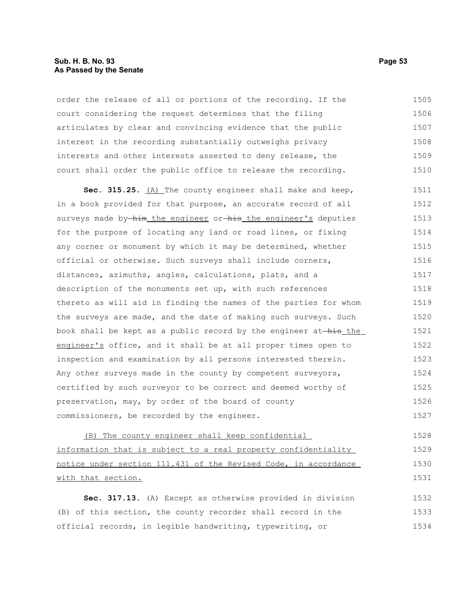#### **Sub. H. B. No. 93 Page 53 As Passed by the Senate**

order the release of all or portions of the recording. If the court considering the request determines that the filing articulates by clear and convincing evidence that the public interest in the recording substantially outweighs privacy interests and other interests asserted to deny release, the court shall order the public office to release the recording. 1505 1506 1507 1508 1509 1510

**Sec. 315.25.** (A) The county engineer shall make and keep, in a book provided for that purpose, an accurate record of all surveys made by him the engineer or his the engineer's deputies for the purpose of locating any land or road lines, or fixing any corner or monument by which it may be determined, whether official or otherwise. Such surveys shall include corners, distances, azimuths, angles, calculations, plats, and a description of the monuments set up, with such references thereto as will aid in finding the names of the parties for whom the surveys are made, and the date of making such surveys. Such book shall be kept as a public record by the engineer at-his the engineer's office, and it shall be at all proper times open to inspection and examination by all persons interested therein. Any other surveys made in the county by competent surveyors, certified by such surveyor to be correct and deemed worthy of preservation, may, by order of the board of county commissioners, be recorded by the engineer. 1511 1512 1513 1514 1515 1516 1517 1518 1519 1520 1521 1522 1523 1524 1525 1526 1527

(B) The county engineer shall keep confidential information that is subject to a real property confidentiality notice under section 111.431 of the Revised Code, in accordance with that section. 1528 1529 1530 1531

**Sec. 317.13.** (A) Except as otherwise provided in division (B) of this section, the county recorder shall record in the official records, in legible handwriting, typewriting, or 1532 1533 1534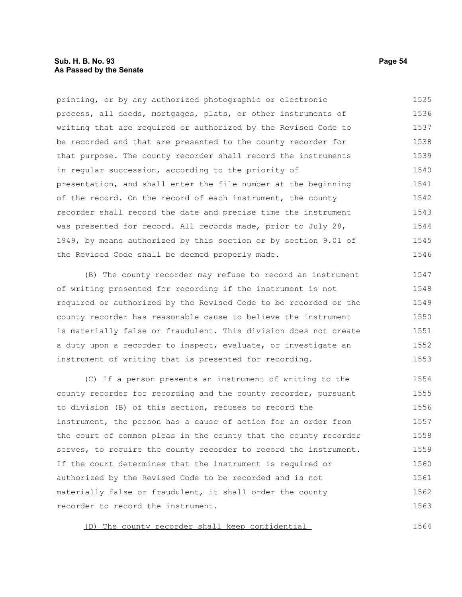#### **Sub. H. B. No. 93 Page 54 As Passed by the Senate**

printing, or by any authorized photographic or electronic process, all deeds, mortgages, plats, or other instruments of writing that are required or authorized by the Revised Code to be recorded and that are presented to the county recorder for that purpose. The county recorder shall record the instruments in regular succession, according to the priority of presentation, and shall enter the file number at the beginning of the record. On the record of each instrument, the county recorder shall record the date and precise time the instrument was presented for record. All records made, prior to July 28, 1949, by means authorized by this section or by section 9.01 of the Revised Code shall be deemed properly made. 1535 1536 1537 1538 1539 1540 1541 1542 1543 1544 1545 1546

(B) The county recorder may refuse to record an instrument of writing presented for recording if the instrument is not required or authorized by the Revised Code to be recorded or the county recorder has reasonable cause to believe the instrument is materially false or fraudulent. This division does not create a duty upon a recorder to inspect, evaluate, or investigate an instrument of writing that is presented for recording. 1547 1548 1549 1550 1551 1552 1553

(C) If a person presents an instrument of writing to the county recorder for recording and the county recorder, pursuant to division (B) of this section, refuses to record the instrument, the person has a cause of action for an order from the court of common pleas in the county that the county recorder serves, to require the county recorder to record the instrument. If the court determines that the instrument is required or authorized by the Revised Code to be recorded and is not materially false or fraudulent, it shall order the county recorder to record the instrument. 1554 1555 1556 1557 1558 1559 1560 1561 1562 1563

(D) The county recorder shall keep confidential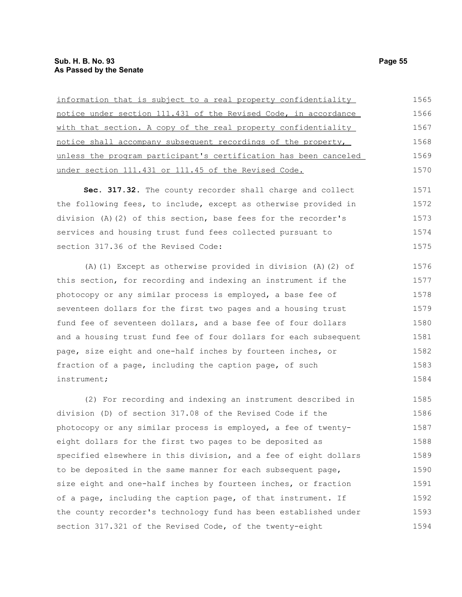| information that is subject to a real property confidentiality   | 1565 |
|------------------------------------------------------------------|------|
| notice under section 111.431 of the Revised Code, in accordance  | 1566 |
| with that section. A copy of the real property confidentiality   | 1567 |
| notice shall accompany subsequent recordings of the property,    | 1568 |
| unless the program participant's certification has been canceled | 1569 |
| under section 111.431 or 111.45 of the Revised Code.             | 1570 |
| Sec. 317.32. The county recorder shall charge and collect        | 1571 |
| the following fees, to include, except as otherwise provided in  | 1572 |
| division (A)(2) of this section, base fees for the recorder's    | 1573 |
| services and housing trust fund fees collected pursuant to       | 1574 |
| section 317.36 of the Revised Code:                              | 1575 |
| (A) (1) Except as otherwise provided in division (A) (2) of      | 1576 |
| this section, for recording and indexing an instrument if the    | 1577 |
| photocopy or any similar process is employed, a base fee of      | 1578 |
| seventeen dollars for the first two pages and a housing trust    | 1579 |
| fund fee of seventeen dollars, and a base fee of four dollars    | 1580 |
| and a housing trust fund fee of four dollars for each subsequent | 1581 |
| page, size eight and one-half inches by fourteen inches, or      | 1582 |
| fraction of a page, including the caption page, of such          | 1583 |
| instrument;                                                      | 1584 |

(2) For recording and indexing an instrument described in division (D) of section 317.08 of the Revised Code if the photocopy or any similar process is employed, a fee of twentyeight dollars for the first two pages to be deposited as specified elsewhere in this division, and a fee of eight dollars to be deposited in the same manner for each subsequent page, size eight and one-half inches by fourteen inches, or fraction of a page, including the caption page, of that instrument. If the county recorder's technology fund has been established under section 317.321 of the Revised Code, of the twenty-eight 1585 1586 1587 1588 1589 1590 1591 1592 1593 1594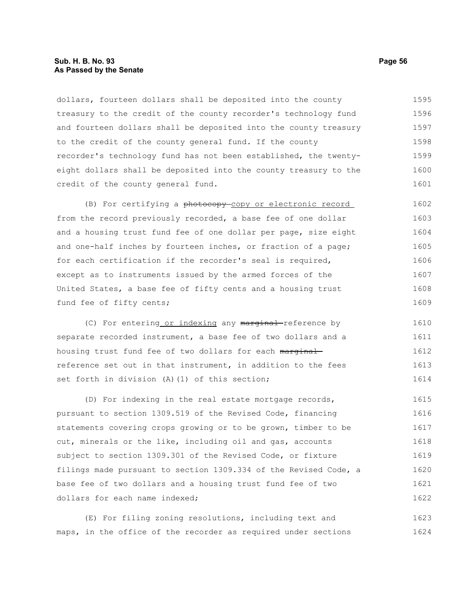#### **Sub. H. B. No. 93 Page 56 As Passed by the Senate**

dollars, fourteen dollars shall be deposited into the county treasury to the credit of the county recorder's technology fund and fourteen dollars shall be deposited into the county treasury to the credit of the county general fund. If the county recorder's technology fund has not been established, the twentyeight dollars shall be deposited into the county treasury to the credit of the county general fund. 1595 1596 1597 1598 1599 1600 1601

(B) For certifying a photocopy-copy or electronic record from the record previously recorded, a base fee of one dollar and a housing trust fund fee of one dollar per page, size eight and one-half inches by fourteen inches, or fraction of a page; for each certification if the recorder's seal is required, except as to instruments issued by the armed forces of the United States, a base fee of fifty cents and a housing trust fund fee of fifty cents; 1602 1603 1604 1605 1606 1607 1608 1609

(C) For entering or indexing any marginal reference by separate recorded instrument, a base fee of two dollars and a housing trust fund fee of two dollars for each marginal reference set out in that instrument, in addition to the fees set forth in division (A)(1) of this section; 1610 1611 1612 1613 1614

(D) For indexing in the real estate mortgage records, pursuant to section 1309.519 of the Revised Code, financing statements covering crops growing or to be grown, timber to be cut, minerals or the like, including oil and gas, accounts subject to section 1309.301 of the Revised Code, or fixture filings made pursuant to section 1309.334 of the Revised Code, a base fee of two dollars and a housing trust fund fee of two dollars for each name indexed: 1615 1616 1617 1618 1619 1620 1621 1622

(E) For filing zoning resolutions, including text and maps, in the office of the recorder as required under sections 1623 1624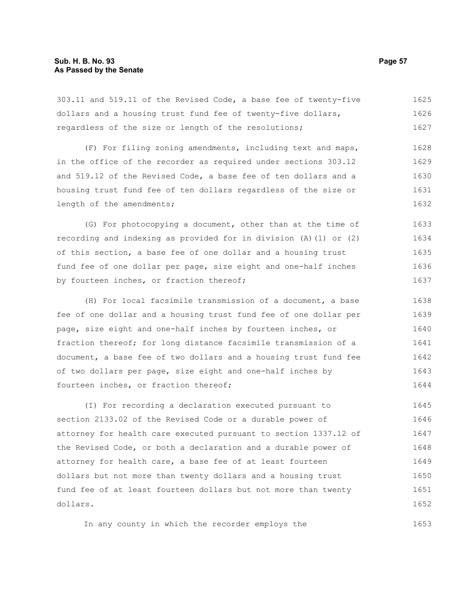#### **Sub. H. B. No. 93 Page 57 As Passed by the Senate**

303.11 and 519.11 of the Revised Code, a base fee of twenty-five dollars and a housing trust fund fee of twenty-five dollars, regardless of the size or length of the resolutions; 1625 1626 1627

(F) For filing zoning amendments, including text and maps, in the office of the recorder as required under sections 303.12 and 519.12 of the Revised Code, a base fee of ten dollars and a housing trust fund fee of ten dollars regardless of the size or length of the amendments; 1628 1629 1630 1631 1632

(G) For photocopying a document, other than at the time of recording and indexing as provided for in division (A)(1) or (2) of this section, a base fee of one dollar and a housing trust fund fee of one dollar per page, size eight and one-half inches by fourteen inches, or fraction thereof; 1633 1634 1635 1636 1637

(H) For local facsimile transmission of a document, a base fee of one dollar and a housing trust fund fee of one dollar per page, size eight and one-half inches by fourteen inches, or fraction thereof; for long distance facsimile transmission of a document, a base fee of two dollars and a housing trust fund fee of two dollars per page, size eight and one-half inches by fourteen inches, or fraction thereof; 1638 1639 1640 1641 1642 1643 1644

(I) For recording a declaration executed pursuant to section 2133.02 of the Revised Code or a durable power of attorney for health care executed pursuant to section 1337.12 of the Revised Code, or both a declaration and a durable power of attorney for health care, a base fee of at least fourteen dollars but not more than twenty dollars and a housing trust fund fee of at least fourteen dollars but not more than twenty dollars. 1645 1646 1647 1648 1649 1650 1651 1652

In any county in which the recorder employs the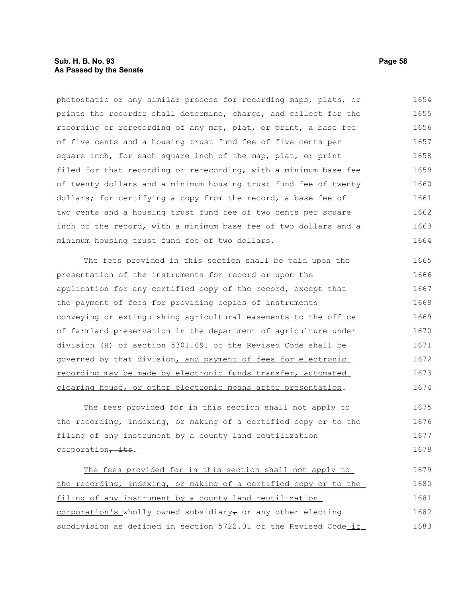### **Sub. H. B. No. 93 Page 58 As Passed by the Senate**

photostatic or any similar process for recording maps, plats, or prints the recorder shall determine, charge, and collect for the recording or rerecording of any map, plat, or print, a base fee of five cents and a housing trust fund fee of five cents per square inch, for each square inch of the map, plat, or print filed for that recording or rerecording, with a minimum base fee of twenty dollars and a minimum housing trust fund fee of twenty dollars; for certifying a copy from the record, a base fee of two cents and a housing trust fund fee of two cents per square inch of the record, with a minimum base fee of two dollars and a minimum housing trust fund fee of two dollars. 1654 1655 1656 1657 1658 1659 1660 1661 1662 1663 1664

The fees provided in this section shall be paid upon the presentation of the instruments for record or upon the application for any certified copy of the record, except that the payment of fees for providing copies of instruments conveying or extinguishing agricultural easements to the office of farmland preservation in the department of agriculture under division (H) of section 5301.691 of the Revised Code shall be governed by that division, and payment of fees for electronic recording may be made by electronic funds transfer, automated clearing house, or other electronic means after presentation. 1665 1666 1667 1668 1669 1670 1671 1672 1673 1674

The fees provided for in this section shall not apply to the recording, indexing, or making of a certified copy or to the filing of any instrument by a county land reutilization corporation<del>, its</del>. 1675 1676 1677 1678

The fees provided for in this section shall not apply to the recording, indexing, or making of a certified copy or to the filing of any instrument by a county land reutilization  $corportation's$  wholly owned subsidiary, or any other electing subdivision as defined in section 5722.01 of the Revised Code\_if\_ 1679 1680 1681 1682 1683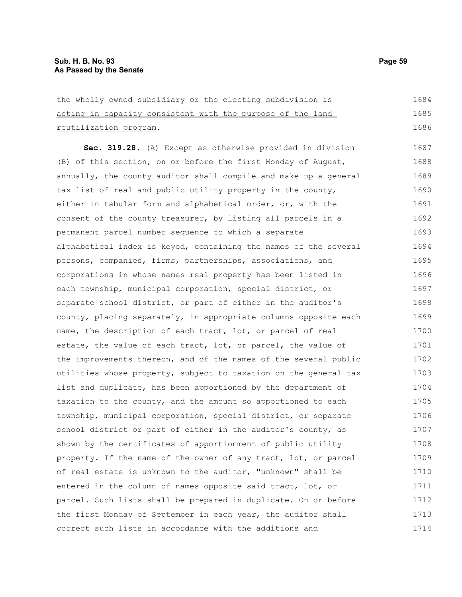the wholly owned subsidiary or the electing subdivision is acting in capacity consistent with the purpose of the land reutilization program. **Sec. 319.28.** (A) Except as otherwise provided in division (B) of this section, on or before the first Monday of August, annually, the county auditor shall compile and make up a general tax list of real and public utility property in the county, either in tabular form and alphabetical order, or, with the consent of the county treasurer, by listing all parcels in a permanent parcel number sequence to which a separate alphabetical index is keyed, containing the names of the several persons, companies, firms, partnerships, associations, and corporations in whose names real property has been listed in each township, municipal corporation, special district, or separate school district, or part of either in the auditor's county, placing separately, in appropriate columns opposite each name, the description of each tract, lot, or parcel of real estate, the value of each tract, lot, or parcel, the value of the improvements thereon, and of the names of the several public utilities whose property, subject to taxation on the general tax list and duplicate, has been apportioned by the department of taxation to the county, and the amount so apportioned to each township, municipal corporation, special district, or separate school district or part of either in the auditor's county, as shown by the certificates of apportionment of public utility property. If the name of the owner of any tract, lot, or parcel of real estate is unknown to the auditor, "unknown" shall be entered in the column of names opposite said tract, lot, or parcel. Such lists shall be prepared in duplicate. On or before the first Monday of September in each year, the auditor shall correct such lists in accordance with the additions and 1684 1685 1686 1687 1688 1689 1690 1691 1692 1693 1694 1695 1696 1697 1698 1699 1700 1701 1702 1703 1704 1705 1706 1707 1708 1709 1710 1711 1712 1713 1714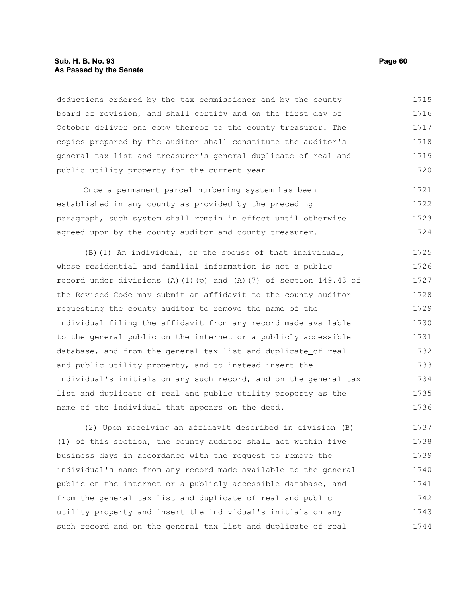#### **Sub. H. B. No. 93 Page 60 As Passed by the Senate**

deductions ordered by the tax commissioner and by the county board of revision, and shall certify and on the first day of October deliver one copy thereof to the county treasurer. The copies prepared by the auditor shall constitute the auditor's general tax list and treasurer's general duplicate of real and public utility property for the current year. 1715 1716 1717 1718 1719 1720

Once a permanent parcel numbering system has been established in any county as provided by the preceding paragraph, such system shall remain in effect until otherwise agreed upon by the county auditor and county treasurer. 1721 1722 1723 1724

(B)(1) An individual, or the spouse of that individual, whose residential and familial information is not a public record under divisions (A)(1)(p) and (A)(7) of section 149.43 of the Revised Code may submit an affidavit to the county auditor requesting the county auditor to remove the name of the individual filing the affidavit from any record made available to the general public on the internet or a publicly accessible database, and from the general tax list and duplicate of real and public utility property, and to instead insert the individual's initials on any such record, and on the general tax list and duplicate of real and public utility property as the name of the individual that appears on the deed. 1725 1726 1727 1728 1729 1730 1731 1732 1733 1734 1735 1736

(2) Upon receiving an affidavit described in division (B) (1) of this section, the county auditor shall act within five business days in accordance with the request to remove the individual's name from any record made available to the general public on the internet or a publicly accessible database, and from the general tax list and duplicate of real and public utility property and insert the individual's initials on any such record and on the general tax list and duplicate of real 1737 1738 1739 1740 1741 1742 1743 1744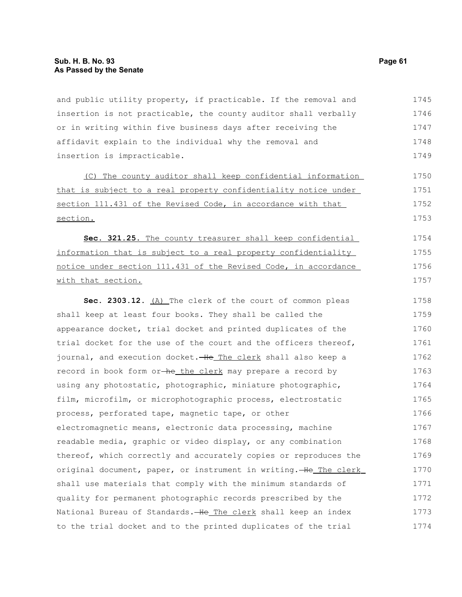and public utility property, if practicable. If the removal and insertion is not practicable, the county auditor shall verbally or in writing within five business days after receiving the affidavit explain to the individual why the removal and insertion is impracticable. (C) The county auditor shall keep confidential information that is subject to a real property confidentiality notice under section 111.431 of the Revised Code, in accordance with that section. **Sec. 321.25.** The county treasurer shall keep confidential information that is subject to a real property confidentiality notice under section 111.431 of the Revised Code, in accordance with that section. **Sec. 2303.12.** (A) The clerk of the court of common pleas shall keep at least four books. They shall be called the appearance docket, trial docket and printed duplicates of the trial docket for the use of the court and the officers thereof, journal, and execution docket. He The clerk shall also keep a record in book form or-he the clerk may prepare a record by using any photostatic, photographic, miniature photographic, film, microfilm, or microphotographic process, electrostatic process, perforated tape, magnetic tape, or other electromagnetic means, electronic data processing, machine readable media, graphic or video display, or any combination thereof, which correctly and accurately copies or reproduces the original document, paper, or instrument in writing. He The clerk shall use materials that comply with the minimum standards of quality for permanent photographic records prescribed by the National Bureau of Standards. He The clerk shall keep an index to the trial docket and to the printed duplicates of the trial 1745 1746 1747 1748 1749 1750 1751 1752 1753 1754 1755 1756 1757 1758 1759 1760 1761 1762 1763 1764 1765 1766 1767 1768 1769 1770 1771 1772 1773 1774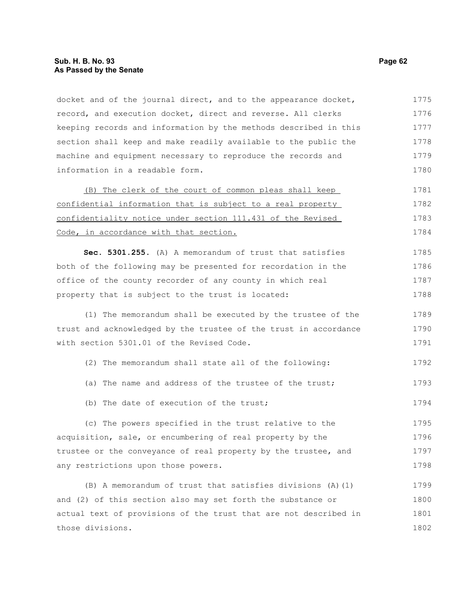#### **Sub. H. B. No. 93 Page 62 As Passed by the Senate**

docket and of the journal direct, and to the appearance docket, record, and execution docket, direct and reverse. All clerks keeping records and information by the methods described in this section shall keep and make readily available to the public the machine and equipment necessary to reproduce the records and information in a readable form. 1775 1776 1777 1778 1779 1780

(B) The clerk of the court of common pleas shall keep confidential information that is subject to a real property confidentiality notice under section 111.431 of the Revised Code, in accordance with that section. 1781 1782 1783 1784

**Sec. 5301.255.** (A) A memorandum of trust that satisfies both of the following may be presented for recordation in the office of the county recorder of any county in which real property that is subject to the trust is located: 1785 1786 1787 1788

(1) The memorandum shall be executed by the trustee of the trust and acknowledged by the trustee of the trust in accordance with section 5301.01 of the Revised Code. 1789 1790 1791

|  |  | (2) The memorandum shall state all of the following:  |  |  |  | 1792 |
|--|--|-------------------------------------------------------|--|--|--|------|
|  |  | (a) The name and address of the trustee of the trust; |  |  |  | 1793 |

(b) The date of execution of the trust; 1794

(c) The powers specified in the trust relative to the acquisition, sale, or encumbering of real property by the trustee or the conveyance of real property by the trustee, and any restrictions upon those powers. 1795 1796 1797 1798

(B) A memorandum of trust that satisfies divisions (A)(1) and (2) of this section also may set forth the substance or actual text of provisions of the trust that are not described in those divisions. 1799 1800 1801 1802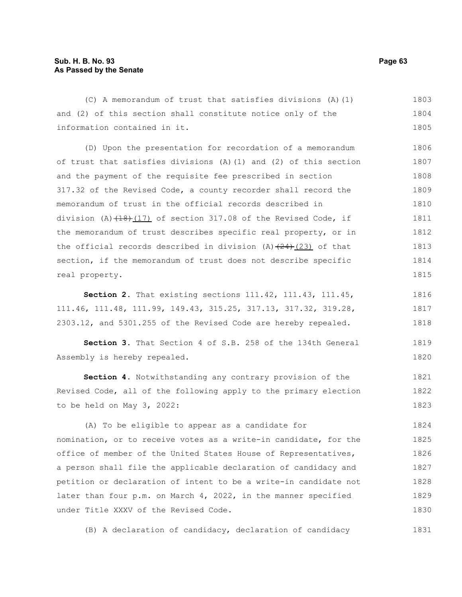(C) A memorandum of trust that satisfies divisions (A)(1) and (2) of this section shall constitute notice only of the information contained in it. 1803 1804 1805

(D) Upon the presentation for recordation of a memorandum of trust that satisfies divisions (A)(1) and (2) of this section and the payment of the requisite fee prescribed in section 317.32 of the Revised Code, a county recorder shall record the memorandum of trust in the official records described in division (A) $(18)(17)$  of section 317.08 of the Revised Code, if the memorandum of trust describes specific real property, or in the official records described in division  $(A)$   $(24)$   $(23)$  of that section, if the memorandum of trust does not describe specific real property. 1806 1807 1808 1809 1810 1811 1812 1813 1814 1815

**Section 2.** That existing sections 111.42, 111.43, 111.45, 111.46, 111.48, 111.99, 149.43, 315.25, 317.13, 317.32, 319.28, 2303.12, and 5301.255 of the Revised Code are hereby repealed. 1816 1817 1818

**Section 3.** That Section 4 of S.B. 258 of the 134th General Assembly is hereby repealed. 1819 1820

**Section 4.** Notwithstanding any contrary provision of the Revised Code, all of the following apply to the primary election to be held on May 3, 2022: 1821 1822 1823

(A) To be eligible to appear as a candidate for nomination, or to receive votes as a write-in candidate, for the office of member of the United States House of Representatives, a person shall file the applicable declaration of candidacy and petition or declaration of intent to be a write-in candidate not later than four p.m. on March 4, 2022, in the manner specified under Title XXXV of the Revised Code. 1824 1825 1826 1827 1828 1829 1830

(B) A declaration of candidacy, declaration of candidacy 1831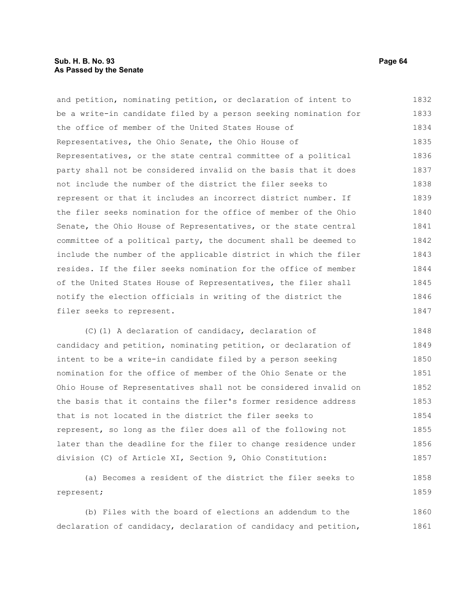and petition, nominating petition, or declaration of intent to be a write-in candidate filed by a person seeking nomination for the office of member of the United States House of Representatives, the Ohio Senate, the Ohio House of Representatives, or the state central committee of a political party shall not be considered invalid on the basis that it does not include the number of the district the filer seeks to represent or that it includes an incorrect district number. If the filer seeks nomination for the office of member of the Ohio Senate, the Ohio House of Representatives, or the state central committee of a political party, the document shall be deemed to include the number of the applicable district in which the filer resides. If the filer seeks nomination for the office of member of the United States House of Representatives, the filer shall notify the election officials in writing of the district the filer seeks to represent. 1832 1833 1834 1835 1836 1837 1838 1839 1840 1841 1842 1843 1844 1845 1846 1847

(C)(1) A declaration of candidacy, declaration of candidacy and petition, nominating petition, or declaration of intent to be a write-in candidate filed by a person seeking nomination for the office of member of the Ohio Senate or the Ohio House of Representatives shall not be considered invalid on the basis that it contains the filer's former residence address that is not located in the district the filer seeks to represent, so long as the filer does all of the following not later than the deadline for the filer to change residence under division (C) of Article XI, Section 9, Ohio Constitution: 1848 1849 1850 1851 1852 1853 1854 1855 1856 1857

(a) Becomes a resident of the district the filer seeks to represent; 1858 1859

(b) Files with the board of elections an addendum to the declaration of candidacy, declaration of candidacy and petition, 1860 1861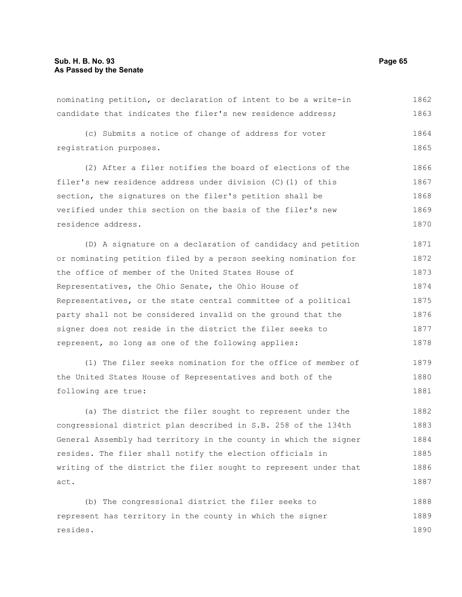| nominating petition, or declaration of intent to be a write-in  | 1862 |  |  |  |  |  |
|-----------------------------------------------------------------|------|--|--|--|--|--|
| candidate that indicates the filer's new residence address;     | 1863 |  |  |  |  |  |
| (c) Submits a notice of change of address for voter             | 1864 |  |  |  |  |  |
| registration purposes.                                          | 1865 |  |  |  |  |  |
| (2) After a filer notifies the board of elections of the        | 1866 |  |  |  |  |  |
| filer's new residence address under division (C)(1) of this     | 1867 |  |  |  |  |  |
| section, the signatures on the filer's petition shall be        | 1868 |  |  |  |  |  |
| verified under this section on the basis of the filer's new     |      |  |  |  |  |  |
| residence address.                                              | 1870 |  |  |  |  |  |
| (D) A signature on a declaration of candidacy and petition      | 1871 |  |  |  |  |  |
| or nominating petition filed by a person seeking nomination for | 1872 |  |  |  |  |  |
| the office of member of the United States House of              | 1873 |  |  |  |  |  |
| Representatives, the Ohio Senate, the Ohio House of             | 1874 |  |  |  |  |  |
| Representatives, or the state central committee of a political  | 1875 |  |  |  |  |  |
| party shall not be considered invalid on the ground that the    | 1876 |  |  |  |  |  |
| signer does not reside in the district the filer seeks to       | 1877 |  |  |  |  |  |
| represent, so long as one of the following applies:             | 1878 |  |  |  |  |  |

(1) The filer seeks nomination for the office of member of the United States House of Representatives and both of the following are true: 1879 1880 1881

(a) The district the filer sought to represent under the congressional district plan described in S.B. 258 of the 134th General Assembly had territory in the county in which the signer resides. The filer shall notify the election officials in writing of the district the filer sought to represent under that act. 1882 1883 1884 1885 1886 1887

(b) The congressional district the filer seeks to represent has territory in the county in which the signer resides. 1888 1889 1890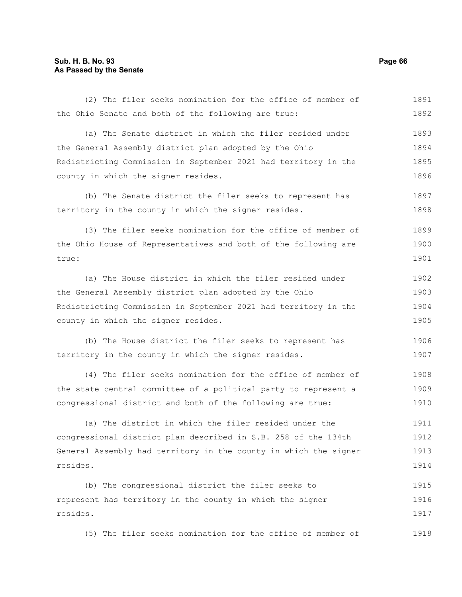### **Sub. H. B. No. 93 Page 66 As Passed by the Senate**

| (2) The filer seeks nomination for the office of member of       | 1891 |
|------------------------------------------------------------------|------|
| the Ohio Senate and both of the following are true:              | 1892 |
| (a) The Senate district in which the filer resided under         | 1893 |
| the General Assembly district plan adopted by the Ohio           | 1894 |
| Redistricting Commission in September 2021 had territory in the  | 1895 |
| county in which the signer resides.                              | 1896 |
| (b) The Senate district the filer seeks to represent has         | 1897 |
| territory in the county in which the signer resides.             | 1898 |
| (3) The filer seeks nomination for the office of member of       | 1899 |
| the Ohio House of Representatives and both of the following are  | 1900 |
| true:                                                            | 1901 |
| (a) The House district in which the filer resided under          | 1902 |
| the General Assembly district plan adopted by the Ohio           | 1903 |
| Redistricting Commission in September 2021 had territory in the  | 1904 |
| county in which the signer resides.                              | 1905 |
| (b) The House district the filer seeks to represent has          | 1906 |
| territory in the county in which the signer resides.             | 1907 |
| (4) The filer seeks nomination for the office of member of       | 1908 |
| the state central committee of a political party to represent a  | 1909 |
| congressional district and both of the following are true:       | 1910 |
| (a) The district in which the filer resided under the            | 1911 |
| congressional district plan described in S.B. 258 of the 134th   | 1912 |
| General Assembly had territory in the county in which the signer | 1913 |
| resides.                                                         | 1914 |
| (b) The congressional district the filer seeks to                | 1915 |
| represent has territory in the county in which the signer        | 1916 |
| resides.                                                         | 1917 |
| (5) The filer seeks nomination for the office of member of       | 1918 |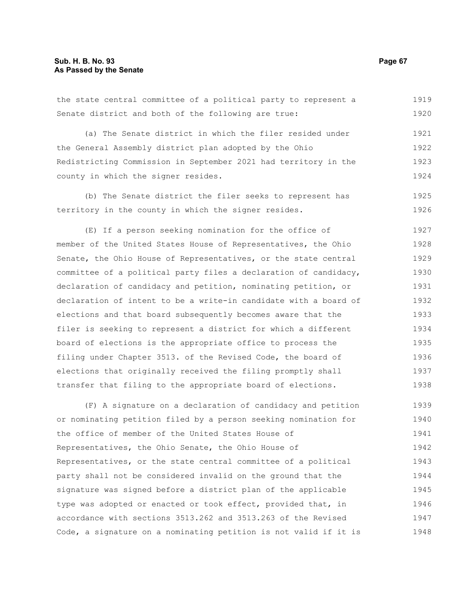| the state central committee of a political party to represent a  | 1919 |
|------------------------------------------------------------------|------|
| Senate district and both of the following are true:              | 1920 |
| (a) The Senate district in which the filer resided under         | 1921 |
| the General Assembly district plan adopted by the Ohio           | 1922 |
| Redistricting Commission in September 2021 had territory in the  | 1923 |
| county in which the signer resides.                              | 1924 |
| (b) The Senate district the filer seeks to represent has         | 1925 |
| territory in the county in which the signer resides.             | 1926 |
| (E) If a person seeking nomination for the office of             | 1927 |
| member of the United States House of Representatives, the Ohio   | 1928 |
| Senate, the Ohio House of Representatives, or the state central  | 1929 |
| committee of a political party files a declaration of candidacy, | 1930 |
| declaration of candidacy and petition, nominating petition, or   | 1931 |
| declaration of intent to be a write-in candidate with a board of | 1932 |
| elections and that board subsequently becomes aware that the     | 1933 |
| filer is seeking to represent a district for which a different   | 1934 |
| board of elections is the appropriate office to process the      | 1935 |
| filing under Chapter 3513. of the Revised Code, the board of     | 1936 |
| elections that originally received the filing promptly shall     | 1937 |
| transfer that filing to the appropriate board of elections.      | 1938 |
| (F) A signature on a declaration of candidacy and petition       | 1939 |
| or nominating petition filed by a person seeking nomination for  | 1940 |
| the office of member of the United States House of               | 1941 |
| Representatives, the Ohio Senate, the Ohio House of              | 1942 |
| Representatives, or the state central committee of a political   | 1943 |
| party shall not be considered invalid on the ground that the     | 1944 |
| signature was signed before a district plan of the applicable    | 1945 |
| type was adopted or enacted or took effect, provided that, in    | 1946 |
| accordance with sections 3513.262 and 3513.263 of the Revised    | 1947 |

Code, a signature on a nominating petition is not valid if it is

the state central committee of a political party to represent a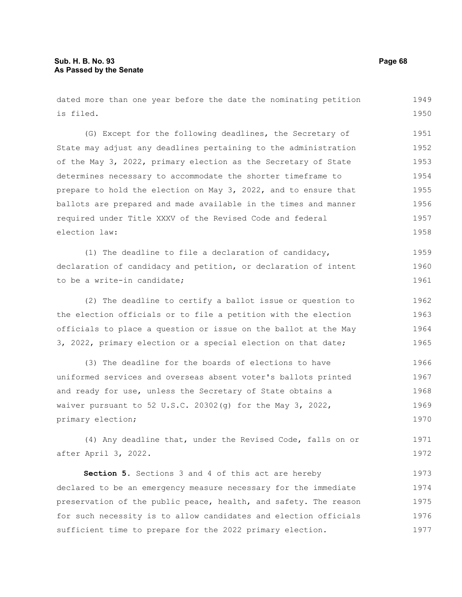dated more than one year before the date the nominating petition is filed. 1949 1950

(G) Except for the following deadlines, the Secretary of State may adjust any deadlines pertaining to the administration of the May 3, 2022, primary election as the Secretary of State determines necessary to accommodate the shorter timeframe to prepare to hold the election on May 3, 2022, and to ensure that ballots are prepared and made available in the times and manner required under Title XXXV of the Revised Code and federal election law: 1951 1952 1953 1954 1955 1956 1957 1958

(1) The deadline to file a declaration of candidacy, declaration of candidacy and petition, or declaration of intent to be a write-in candidate; 1959 1960 1961

(2) The deadline to certify a ballot issue or question to the election officials or to file a petition with the election officials to place a question or issue on the ballot at the May 3, 2022, primary election or a special election on that date; 1962 1963 1964 1965

(3) The deadline for the boards of elections to have uniformed services and overseas absent voter's ballots printed and ready for use, unless the Secretary of State obtains a waiver pursuant to 52 U.S.C. 20302(g) for the May 3, 2022, primary election; 1966 1967 1968 1969 1970

(4) Any deadline that, under the Revised Code, falls on or after April 3, 2022. 1971 1972

**Section 5.** Sections 3 and 4 of this act are hereby declared to be an emergency measure necessary for the immediate preservation of the public peace, health, and safety. The reason for such necessity is to allow candidates and election officials sufficient time to prepare for the 2022 primary election. 1973 1974 1975 1976 1977